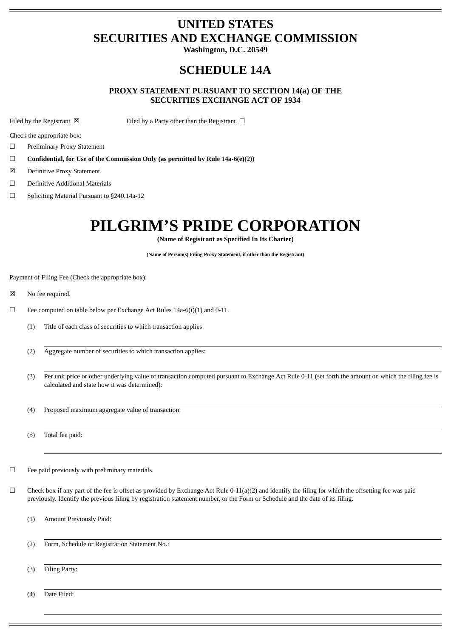# **UNITED STATES SECURITIES AND EXCHANGE COMMISSION**

**Washington, D.C. 20549**

# **SCHEDULE 14A**

## **PROXY STATEMENT PURSUANT TO SECTION 14(a) OF THE SECURITIES EXCHANGE ACT OF 1934**

Filed by the Registrant  $\boxtimes$  Filed by a Party other than the Registrant  $\Box$ 

Check the appropriate box:

- ☐ Preliminary Proxy Statement
- ☐ **Confidential, for Use of the Commission Only (as permitted by Rule 14a-6(e)(2))**
- ☒ Definitive Proxy Statement
- ☐ Definitive Additional Materials
- ☐ Soliciting Material Pursuant to §240.14a-12

# **PILGRIM'S PRIDE CORPORATION**

**(Name of Registrant as Specified In Its Charter)**

**(Name of Person(s) Filing Proxy Statement, if other than the Registrant)**

Payment of Filing Fee (Check the appropriate box):

- ☒ No fee required.
- ☐ Fee computed on table below per Exchange Act Rules 14a-6(i)(1) and 0-11.
	- (1) Title of each class of securities to which transaction applies:
	- (2) Aggregate number of securities to which transaction applies:
	- (3) Per unit price or other underlying value of transaction computed pursuant to Exchange Act Rule 0-11 (set forth the amount on which the filing fee is calculated and state how it was determined):
	- (4) Proposed maximum aggregate value of transaction:

(5) Total fee paid:

- ☐ Fee paid previously with preliminary materials.
- $\Box$  Check box if any part of the fee is offset as provided by Exchange Act Rule 0-11(a)(2) and identify the filing for which the offsetting fee was paid previously. Identify the previous filing by registration statement number, or the Form or Schedule and the date of its filing.
	- (1) Amount Previously Paid:
	- (2) Form, Schedule or Registration Statement No.:
	- (3) Filing Party:

(4) Date Filed: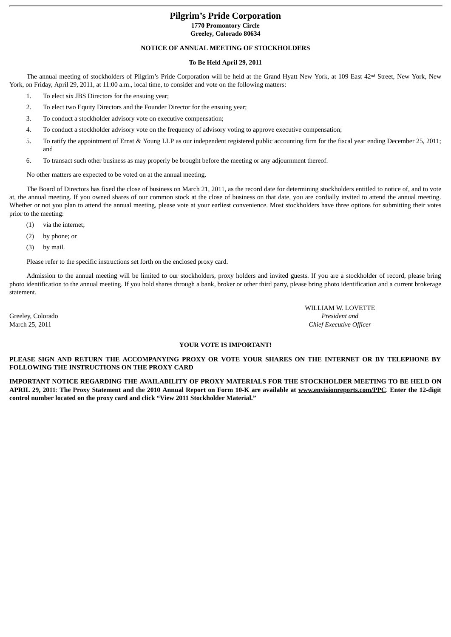## **Pilgrim's Pride Corporation 1770 Promontory Circle Greeley, Colorado 80634**

## **NOTICE OF ANNUAL MEETING OF STOCKHOLDERS**

## **To Be Held April 29, 2011**

The annual meeting of stockholders of Pilgrim's Pride Corporation will be held at the Grand Hyatt New York, at 109 East 42<sup>nd</sup> Street, New York, New York, on Friday, April 29, 2011, at 11:00 a.m., local time, to consider and vote on the following matters:

- 1. To elect six JBS Directors for the ensuing year;
- 2. To elect two Equity Directors and the Founder Director for the ensuing year;
- 3. To conduct a stockholder advisory vote on executive compensation;
- 4. To conduct a stockholder advisory vote on the frequency of advisory voting to approve executive compensation;
- 5. To ratify the appointment of Ernst & Young LLP as our independent registered public accounting firm for the fiscal year ending December 25, 2011; and
- 6. To transact such other business as may properly be brought before the meeting or any adjournment thereof.

No other matters are expected to be voted on at the annual meeting.

The Board of Directors has fixed the close of business on March 21, 2011, as the record date for determining stockholders entitled to notice of, and to vote at, the annual meeting. If you owned shares of our common stock at the close of business on that date, you are cordially invited to attend the annual meeting. Whether or not you plan to attend the annual meeting, please vote at your earliest convenience. Most stockholders have three options for submitting their votes prior to the meeting:

- (1) via the internet;
- (2) by phone; or
- (3) by mail.

Please refer to the specific instructions set forth on the enclosed proxy card.

Admission to the annual meeting will be limited to our stockholders, proxy holders and invited guests. If you are a stockholder of record, please bring photo identification to the annual meeting. If you hold shares through a bank, broker or other third party, please bring photo identification and a current brokerage statement.

 WILLIAM W. LOVETTE Greeley, Colorado *President and* March 25, 2011 *Chief Executive Officer*

## **YOUR VOTE IS IMPORTANT!**

## **PLEASE SIGN AND RETURN THE ACCOMPANYING PROXY OR VOTE YOUR SHARES ON THE INTERNET OR BY TELEPHONE BY FOLLOWING THE INSTRUCTIONS ON THE PROXY CARD**

**IMPORTANT NOTICE REGARDING THE AVAILABILITY OF PROXY MATERIALS FOR THE STOCKHOLDER MEETING TO BE HELD ON APRIL 29, 2011**: **The Proxy Statement and the 2010 Annual Report on Form 10-K are available at www.envisionreports.com/PPC**. **Enter the 12-digit control number located on the proxy card and click "View 2011 Stockholder Material."**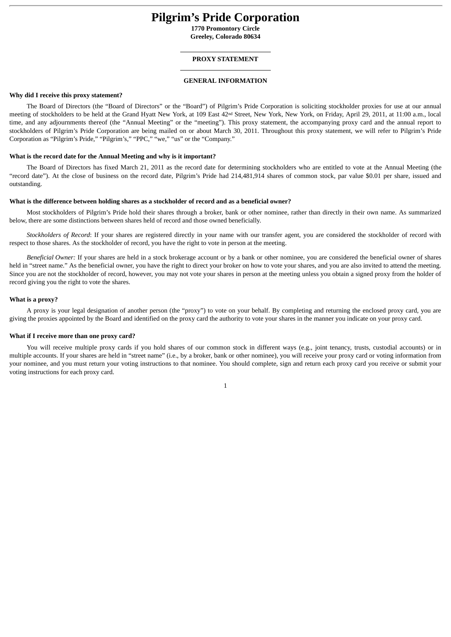## **Pilgrim's Pride Corporation**

**1770 Promontory Circle Greeley, Colorado 80634**

#### **PROXY STATEMENT**

## **GENERAL INFORMATION**

#### **Why did I receive this proxy statement?**

The Board of Directors (the "Board of Directors" or the "Board") of Pilgrim's Pride Corporation is soliciting stockholder proxies for use at our annual meeting of stockholders to be held at the Grand Hyatt New York, at 109 East 42<sup>nd</sup> Street, New York, New York, on Friday, April 29, 2011, at 11:00 a.m., local time, and any adjournments thereof (the "Annual Meeting" or the "meeting"). This proxy statement, the accompanying proxy card and the annual report to stockholders of Pilgrim's Pride Corporation are being mailed on or about March 30, 2011. Throughout this proxy statement, we will refer to Pilgrim's Pride Corporation as "Pilgrim's Pride," "Pilgrim's," "PPC," "we," "us" or the "Company."

## **What is the record date for the Annual Meeting and why is it important?**

The Board of Directors has fixed March 21, 2011 as the record date for determining stockholders who are entitled to vote at the Annual Meeting (the "record date"). At the close of business on the record date, Pilgrim's Pride had 214,481,914 shares of common stock, par value \$0.01 per share, issued and outstanding.

#### **What is the difference between holding shares as a stockholder of record and as a beneficial owner?**

Most stockholders of Pilgrim's Pride hold their shares through a broker, bank or other nominee, rather than directly in their own name. As summarized below, there are some distinctions between shares held of record and those owned beneficially.

*Stockholders of Record*: If your shares are registered directly in your name with our transfer agent, you are considered the stockholder of record with respect to those shares. As the stockholder of record, you have the right to vote in person at the meeting.

*Beneficial Owner:* If your shares are held in a stock brokerage account or by a bank or other nominee, you are considered the beneficial owner of shares held in "street name." As the beneficial owner, you have the right to direct your broker on how to yote your shares, and you are also invited to attend the meeting. Since you are not the stockholder of record, however, you may not vote your shares in person at the meeting unless you obtain a signed proxy from the holder of record giving you the right to vote the shares.

#### **What is a proxy?**

A proxy is your legal designation of another person (the "proxy") to vote on your behalf. By completing and returning the enclosed proxy card, you are giving the proxies appointed by the Board and identified on the proxy card the authority to vote your shares in the manner you indicate on your proxy card.

#### **What if I receive more than one proxy card?**

You will receive multiple proxy cards if you hold shares of our common stock in different ways (e.g., joint tenancy, trusts, custodial accounts) or in multiple accounts. If your shares are held in "street name" (i.e., by a broker, bank or other nominee), you will receive your proxy card or voting information from your nominee, and you must return your voting instructions to that nominee. You should complete, sign and return each proxy card you receive or submit your voting instructions for each proxy card.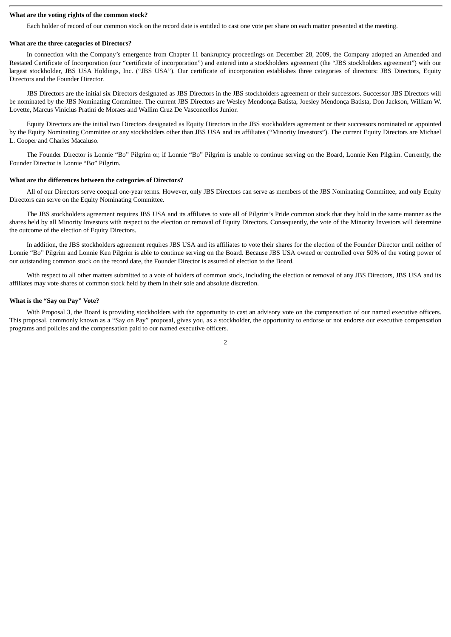## **What are the voting rights of the common stock?**

Each holder of record of our common stock on the record date is entitled to cast one vote per share on each matter presented at the meeting.

## **What are the three categories of Directors?**

In connection with the Company's emergence from Chapter 11 bankruptcy proceedings on December 28, 2009, the Company adopted an Amended and Restated Certificate of Incorporation (our "certificate of incorporation") and entered into a stockholders agreement (the "JBS stockholders agreement") with our largest stockholder, JBS USA Holdings, Inc. ("JBS USA"). Our certificate of incorporation establishes three categories of directors: JBS Directors, Equity Directors and the Founder Director.

JBS Directors are the initial six Directors designated as JBS Directors in the JBS stockholders agreement or their successors. Successor JBS Directors will be nominated by the JBS Nominating Committee. The current JBS Directors are Wesley Mendonça Batista, Joesley Mendonça Batista, Don Jackson, William W. Lovette, Marcus Vinicius Pratini de Moraes and Wallim Cruz De Vasconcellos Junior.

Equity Directors are the initial two Directors designated as Equity Directors in the JBS stockholders agreement or their successors nominated or appointed by the Equity Nominating Committee or any stockholders other than JBS USA and its affiliates ("Minority Investors"). The current Equity Directors are Michael L. Cooper and Charles Macaluso.

The Founder Director is Lonnie "Bo" Pilgrim or, if Lonnie "Bo" Pilgrim is unable to continue serving on the Board, Lonnie Ken Pilgrim. Currently, the Founder Director is Lonnie "Bo" Pilgrim.

#### **What are the differences between the categories of Directors?**

All of our Directors serve coequal one-year terms. However, only JBS Directors can serve as members of the JBS Nominating Committee, and only Equity Directors can serve on the Equity Nominating Committee.

The JBS stockholders agreement requires JBS USA and its affiliates to vote all of Pilgrim's Pride common stock that they hold in the same manner as the shares held by all Minority Investors with respect to the election or removal of Equity Directors. Consequently, the vote of the Minority Investors will determine the outcome of the election of Equity Directors.

In addition, the JBS stockholders agreement requires JBS USA and its affiliates to vote their shares for the election of the Founder Director until neither of Lonnie "Bo" Pilgrim and Lonnie Ken Pilgrim is able to continue serving on the Board. Because JBS USA owned or controlled over 50% of the voting power of our outstanding common stock on the record date, the Founder Director is assured of election to the Board.

With respect to all other matters submitted to a vote of holders of common stock, including the election or removal of any JBS Directors, JBS USA and its affiliates may vote shares of common stock held by them in their sole and absolute discretion.

#### **What is the "Say on Pay" Vote?**

With Proposal 3, the Board is providing stockholders with the opportunity to cast an advisory vote on the compensation of our named executive officers. This proposal, commonly known as a "Say on Pay" proposal, gives you, as a stockholder, the opportunity to endorse or not endorse our executive compensation programs and policies and the compensation paid to our named executive officers.

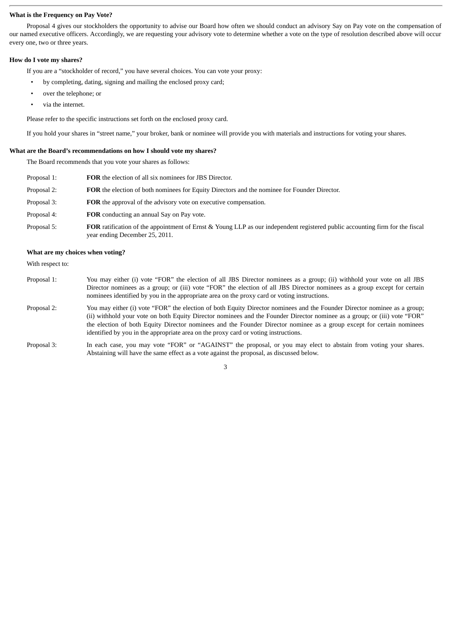### **What is the Frequency on Pay Vote?**

Proposal 4 gives our stockholders the opportunity to advise our Board how often we should conduct an advisory Say on Pay vote on the compensation of our named executive officers. Accordingly, we are requesting your advisory vote to determine whether a vote on the type of resolution described above will occur every one, two or three years.

#### **How do I vote my shares?**

If you are a "stockholder of record," you have several choices. You can vote your proxy:

- by completing, dating, signing and mailing the enclosed proxy card;
- over the telephone; or
- via the internet.

Please refer to the specific instructions set forth on the enclosed proxy card.

If you hold your shares in "street name," your broker, bank or nominee will provide you with materials and instructions for voting your shares.

#### **What are the Board's recommendations on how I should vote my shares?**

The Board recommends that you vote your shares as follows:

| Proposal 1: | <b>FOR</b> the election of all six nominees for JBS Director.                                                                                                         |
|-------------|-----------------------------------------------------------------------------------------------------------------------------------------------------------------------|
| Proposal 2: | <b>FOR</b> the election of both nominees for Equity Directors and the nominee for Founder Director.                                                                   |
| Proposal 3: | FOR the approval of the advisory vote on executive compensation.                                                                                                      |
| Proposal 4: | <b>FOR</b> conducting an annual Say on Pay vote.                                                                                                                      |
| Proposal 5: | <b>FOR</b> ratification of the appointment of Ernst & Young LLP as our independent registered public accounting firm for the fiscal<br>year ending December 25, 2011. |

## **What are my choices when voting?**

With respect to:

- Proposal 1: You may either (i) vote "FOR" the election of all JBS Director nominees as a group; (ii) withhold your vote on all JBS Director nominees as a group; or (iii) vote "FOR" the election of all JBS Director nominees as a group except for certain nominees identified by you in the appropriate area on the proxy card or voting instructions.
- Proposal 2: You may either (i) vote "FOR" the election of both Equity Director nominees and the Founder Director nominee as a group; (ii) withhold your vote on both Equity Director nominees and the Founder Director nominee as a group; or (iii) vote "FOR" the election of both Equity Director nominees and the Founder Director nominee as a group except for certain nominees identified by you in the appropriate area on the proxy card or voting instructions.
- Proposal 3: In each case, you may vote "FOR" or "AGAINST" the proposal, or you may elect to abstain from voting your shares. Abstaining will have the same effect as a vote against the proposal, as discussed below.

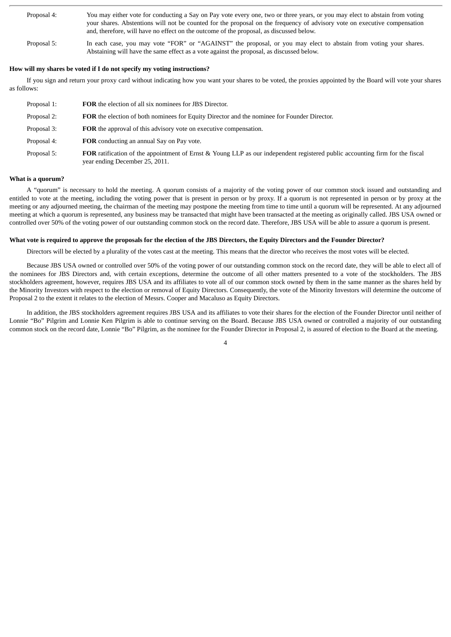| Proposal 4: | You may either vote for conducting a Say on Pay vote every one, two or three years, or you may elect to abstain from voting<br>your shares. Abstentions will not be counted for the proposal on the frequency of advisory vote on executive compensation<br>and, therefore, will have no effect on the outcome of the proposal, as discussed below. |
|-------------|-----------------------------------------------------------------------------------------------------------------------------------------------------------------------------------------------------------------------------------------------------------------------------------------------------------------------------------------------------|
| Proposal 5: | In each case, you may vote "FOR" or "AGAINST" the proposal, or you may elect to abstain from voting your shares.<br>Abstaining will have the same effect as a vote against the proposal, as discussed below.                                                                                                                                        |

## **How will my shares be voted if I do not specify my voting instructions?**

If you sign and return your proxy card without indicating how you want your shares to be voted, the proxies appointed by the Board will vote your shares as follows:

| Proposal 1: | <b>FOR</b> the election of all six nominees for JBS Director.                                                                                                  |
|-------------|----------------------------------------------------------------------------------------------------------------------------------------------------------------|
| Proposal 2: | FOR the election of both nominees for Equity Director and the nominee for Founder Director.                                                                    |
| Proposal 3: | <b>FOR</b> the approval of this advisory vote on executive compensation.                                                                                       |
| Proposal 4: | FOR conducting an annual Say on Pay vote.                                                                                                                      |
| Proposal 5: | FOR ratification of the appointment of Ernst & Young LLP as our independent registered public accounting firm for the fiscal<br>year ending December 25, 2011. |

## **What is a quorum?**

A "quorum" is necessary to hold the meeting. A quorum consists of a majority of the voting power of our common stock issued and outstanding and entitled to vote at the meeting, including the voting power that is present in person or by proxy. If a quorum is not represented in person or by proxy at the meeting or any adjourned meeting, the chairman of the meeting may postpone the meeting from time to time until a quorum will be represented. At any adjourned meeting at which a quorum is represented, any business may be transacted that might have been transacted at the meeting as originally called. JBS USA owned or controlled over 50% of the voting power of our outstanding common stock on the record date. Therefore, JBS USA will be able to assure a quorum is present.

## **What vote is required to approve the proposals for the election of the JBS Directors, the Equity Directors and the Founder Director?**

Directors will be elected by a plurality of the votes cast at the meeting. This means that the director who receives the most votes will be elected.

Because JBS USA owned or controlled over 50% of the voting power of our outstanding common stock on the record date, they will be able to elect all of the nominees for JBS Directors and, with certain exceptions, determine the outcome of all other matters presented to a vote of the stockholders. The JBS stockholders agreement, however, requires JBS USA and its affiliates to vote all of our common stock owned by them in the same manner as the shares held by the Minority Investors with respect to the election or removal of Equity Directors. Consequently, the vote of the Minority Investors will determine the outcome of Proposal 2 to the extent it relates to the election of Messrs. Cooper and Macaluso as Equity Directors.

In addition, the JBS stockholders agreement requires JBS USA and its affiliates to vote their shares for the election of the Founder Director until neither of Lonnie "Bo" Pilgrim and Lonnie Ken Pilgrim is able to continue serving on the Board. Because JBS USA owned or controlled a majority of our outstanding common stock on the record date, Lonnie "Bo" Pilgrim, as the nominee for the Founder Director in Proposal 2, is assured of election to the Board at the meeting.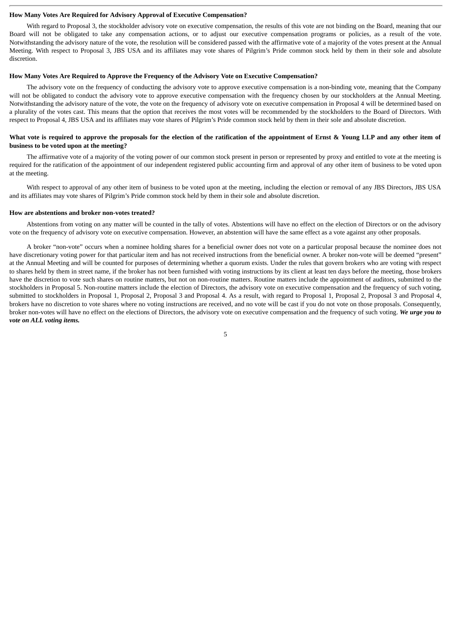#### **How Many Votes Are Required for Advisory Approval of Executive Compensation?**

With regard to Proposal 3, the stockholder advisory vote on executive compensation, the results of this vote are not binding on the Board, meaning that our Board will not be obligated to take any compensation actions, or to adjust our executive compensation programs or policies, as a result of the vote. Notwithstanding the advisory nature of the vote, the resolution will be considered passed with the affirmative vote of a majority of the votes present at the Annual Meeting. With respect to Proposal 3, JBS USA and its affiliates may vote shares of Pilgrim's Pride common stock held by them in their sole and absolute discretion.

#### **How Many Votes Are Required to Approve the Frequency of the Advisory Vote on Executive Compensation?**

The advisory vote on the frequency of conducting the advisory vote to approve executive compensation is a non-binding vote, meaning that the Company will not be obligated to conduct the advisory vote to approve executive compensation with the frequency chosen by our stockholders at the Annual Meeting. Notwithstanding the advisory nature of the vote, the vote on the frequency of advisory vote on executive compensation in Proposal 4 will be determined based on a plurality of the votes cast. This means that the option that receives the most votes will be recommended by the stockholders to the Board of Directors. With respect to Proposal 4, JBS USA and its affiliates may vote shares of Pilgrim's Pride common stock held by them in their sole and absolute discretion.

## **What vote is required to approve the proposals for the election of the ratification of the appointment of Ernst & Young LLP and any other item of business to be voted upon at the meeting?**

The affirmative vote of a majority of the voting power of our common stock present in person or represented by proxy and entitled to vote at the meeting is required for the ratification of the appointment of our independent registered public accounting firm and approval of any other item of business to be voted upon at the meeting.

With respect to approval of any other item of business to be voted upon at the meeting, including the election or removal of any JBS Directors, JBS USA and its affiliates may vote shares of Pilgrim's Pride common stock held by them in their sole and absolute discretion.

#### **How are abstentions and broker non-votes treated?**

Abstentions from voting on any matter will be counted in the tally of votes. Abstentions will have no effect on the election of Directors or on the advisory vote on the frequency of advisory vote on executive compensation. However, an abstention will have the same effect as a vote against any other proposals.

A broker "non-vote" occurs when a nominee holding shares for a beneficial owner does not vote on a particular proposal because the nominee does not have discretionary voting power for that particular item and has not received instructions from the beneficial owner. A broker non-vote will be deemed "present" at the Annual Meeting and will be counted for purposes of determining whether a quorum exists. Under the rules that govern brokers who are voting with respect to shares held by them in street name, if the broker has not been furnished with voting instructions by its client at least ten days before the meeting, those brokers have the discretion to vote such shares on routine matters, but not on non-routine matters. Routine matters include the appointment of auditors, submitted to the stockholders in Proposal 5. Non-routine matters include the election of Directors, the advisory vote on executive compensation and the frequency of such voting, submitted to stockholders in Proposal 1, Proposal 2, Proposal 3 and Proposal 4. As a result, with regard to Proposal 1, Proposal 2, Proposal 3 and Proposal 4, brokers have no discretion to vote shares where no voting instructions are received, and no vote will be cast if you do not vote on those proposals. Consequently, broker non-votes will have no effect on the elections of Directors, the advisory vote on executive compensation and the frequency of such voting. *We urge you to vote on ALL voting items.*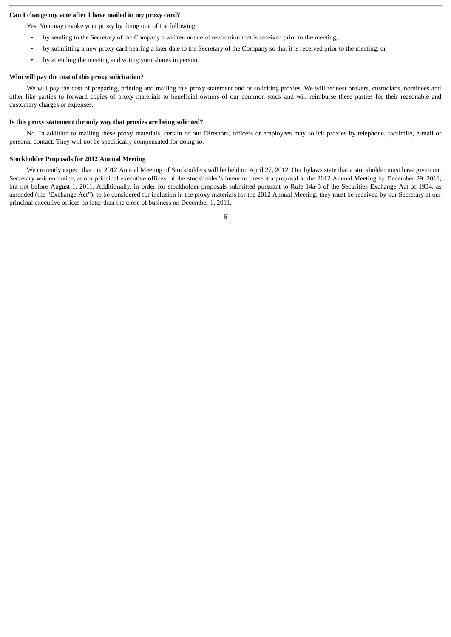## **Can I change my vote after I have mailed in my proxy card?**

Yes. You may revoke your proxy by doing one of the following:

- by sending to the Secretary of the Company a written notice of revocation that is received prior to the meeting;
- by submitting a new proxy card bearing a later date to the Secretary of the Company so that it is received prior to the meeting; or
- by attending the meeting and voting your shares in person.

#### **Who will pay the cost of this proxy solicitation?**

We will pay the cost of preparing, printing and mailing this proxy statement and of soliciting proxies. We will request brokers, custodians, nominees and other like parties to forward copies of proxy materials to beneficial owners of our common stock and will reimburse these parties for their reasonable and customary charges or expenses.

## **Is this proxy statement the only way that proxies are being solicited?**

No. In addition to mailing these proxy materials, certain of our Directors, officers or employees may solicit proxies by telephone, facsimile, e-mail or personal contact. They will not be specifically compensated for doing so.

## **Stockholder Proposals for 2012 Annual Meeting**

We currently expect that our 2012 Annual Meeting of Stockholders will be held on April 27, 2012. Our bylaws state that a stockholder must have given our Secretary written notice, at our principal executive offices, of the stockholder's intent to present a proposal at the 2012 Annual Meeting by December 29, 2011, but not before August 1, 2011. Additionally, in order for stockholder proposals submitted pursuant to Rule 14a-8 of the Securities Exchange Act of 1934, as amended (the "Exchange Act"), to be considered for inclusion in the proxy materials for the 2012 Annual Meeting, they must be received by our Secretary at our principal executive offices no later than the close of business on December 1, 2011.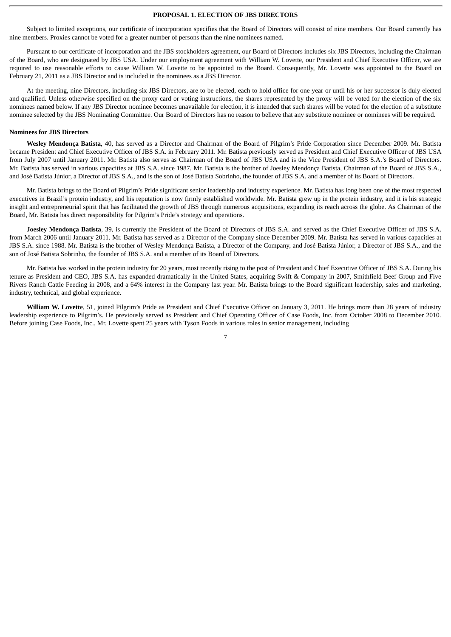## **PROPOSAL 1. ELECTION OF JBS DIRECTORS**

Subject to limited exceptions, our certificate of incorporation specifies that the Board of Directors will consist of nine members. Our Board currently has nine members. Proxies cannot be voted for a greater number of persons than the nine nominees named.

Pursuant to our certificate of incorporation and the JBS stockholders agreement, our Board of Directors includes six JBS Directors, including the Chairman of the Board, who are designated by JBS USA. Under our employment agreement with William W. Lovette, our President and Chief Executive Officer, we are required to use reasonable efforts to cause William W. Lovette to be appointed to the Board. Consequently, Mr. Lovette was appointed to the Board on February 21, 2011 as a JBS Director and is included in the nominees as a JBS Director.

At the meeting, nine Directors, including six JBS Directors, are to be elected, each to hold office for one year or until his or her successor is duly elected and qualified. Unless otherwise specified on the proxy card or voting instructions, the shares represented by the proxy will be voted for the election of the six nominees named below. If any JBS Director nominee becomes unavailable for election, it is intended that such shares will be voted for the election of a substitute nominee selected by the JBS Nominating Committee. Our Board of Directors has no reason to believe that any substitute nominee or nominees will be required.

## **Nominees for JBS Directors**

**Wesley Mendonça Batista**, 40, has served as a Director and Chairman of the Board of Pilgrim's Pride Corporation since December 2009. Mr. Batista became President and Chief Executive Officer of JBS S.A. in February 2011. Mr. Batista previously served as President and Chief Executive Officer of JBS USA from July 2007 until January 2011. Mr. Batista also serves as Chairman of the Board of JBS USA and is the Vice President of JBS S.A.'s Board of Directors. Mr. Batista has served in various capacities at JBS S.A. since 1987. Mr. Batista is the brother of Joesley Mendonça Batista, Chairman of the Board of JBS S.A., and José Batista Júnior, a Director of JBS S.A., and is the son of José Batista Sobrinho, the founder of JBS S.A. and a member of its Board of Directors.

Mr. Batista brings to the Board of Pilgrim's Pride significant senior leadership and industry experience. Mr. Batista has long been one of the most respected executives in Brazil's protein industry, and his reputation is now firmly established worldwide. Mr. Batista grew up in the protein industry, and it is his strategic insight and entrepreneurial spirit that has facilitated the growth of JBS through numerous acquisitions, expanding its reach across the globe. As Chairman of the Board, Mr. Batista has direct responsibility for Pilgrim's Pride's strategy and operations.

**Joesley Mendonça Batista**, 39, is currently the President of the Board of Directors of JBS S.A. and served as the Chief Executive Officer of JBS S.A. from March 2006 until January 2011. Mr. Batista has served as a Director of the Company since December 2009. Mr. Batista has served in various capacities at JBS S.A. since 1988. Mr. Batista is the brother of Wesley Mendonça Batista, a Director of the Company, and José Batista Júnior, a Director of JBS S.A., and the son of José Batista Sobrinho, the founder of JBS S.A. and a member of its Board of Directors.

Mr. Batista has worked in the protein industry for 20 years, most recently rising to the post of President and Chief Executive Officer of JBS S.A. During his tenure as President and CEO, JBS S.A. has expanded dramatically in the United States, acquiring Swift & Company in 2007, Smithfield Beef Group and Five Rivers Ranch Cattle Feeding in 2008, and a 64% interest in the Company last year. Mr. Batista brings to the Board significant leadership, sales and marketing, industry, technical, and global experience.

**William W. Lovette**, 51, joined Pilgrim's Pride as President and Chief Executive Officer on January 3, 2011. He brings more than 28 years of industry leadership experience to Pilgrim's. He previously served as President and Chief Operating Officer of Case Foods, Inc. from October 2008 to December 2010. Before joining Case Foods, Inc., Mr. Lovette spent 25 years with Tyson Foods in various roles in senior management, including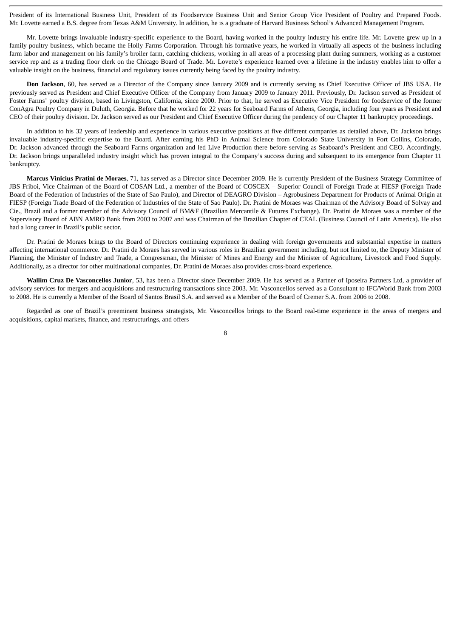President of its International Business Unit, President of its Foodservice Business Unit and Senior Group Vice President of Poultry and Prepared Foods. Mr. Lovette earned a B.S. degree from Texas A&M University. In addition, he is a graduate of Harvard Business School's Advanced Management Program.

Mr. Lovette brings invaluable industry-specific experience to the Board, having worked in the poultry industry his entire life. Mr. Lovette grew up in a family poultry business, which became the Holly Farms Corporation. Through his formative years, he worked in virtually all aspects of the business including farm labor and management on his family's broiler farm, catching chickens, working in all areas of a processing plant during summers, working as a customer service rep and as a trading floor clerk on the Chicago Board of Trade. Mr. Lovette's experience learned over a lifetime in the industry enables him to offer a valuable insight on the business, financial and regulatory issues currently being faced by the poultry industry.

**Don Jackson**, 60, has served as a Director of the Company since January 2009 and is currently serving as Chief Executive Officer of JBS USA. He previously served as President and Chief Executive Officer of the Company from January 2009 to January 2011. Previously, Dr. Jackson served as President of Foster Farms' poultry division, based in Livingston, California, since 2000. Prior to that, he served as Executive Vice President for foodservice of the former ConAgra Poultry Company in Duluth, Georgia. Before that he worked for 22 years for Seaboard Farms of Athens, Georgia, including four years as President and CEO of their poultry division. Dr. Jackson served as our President and Chief Executive Officer during the pendency of our Chapter 11 bankruptcy proceedings.

In addition to his 32 years of leadership and experience in various executive positions at five different companies as detailed above, Dr. Jackson brings invaluable industry-specific expertise to the Board. After earning his PhD in Animal Science from Colorado State University in Fort Collins, Colorado, Dr. Jackson advanced through the Seaboard Farms organization and led Live Production there before serving as Seaboard's President and CEO. Accordingly, Dr. Jackson brings unparalleled industry insight which has proven integral to the Company's success during and subsequent to its emergence from Chapter 11 bankruptcy.

**Marcus Vinicius Pratini de Moraes**, 71, has served as a Director since December 2009. He is currently President of the Business Strategy Committee of JBS Friboi, Vice Chairman of the Board of COSAN Ltd., a member of the Board of COSCEX – Superior Council of Foreign Trade at FIESP (Foreign Trade Board of the Federation of Industries of the State of Sao Paulo), and Director of DEAGRO Division – Agrobusiness Department for Products of Animal Origin at FIESP (Foreign Trade Board of the Federation of Industries of the State of Sao Paulo). Dr. Pratini de Moraes was Chairman of the Advisory Board of Solvay and Cie., Brazil and a former member of the Advisory Council of BM&F (Brazilian Mercantile & Futures Exchange). Dr. Pratini de Moraes was a member of the Supervisory Board of ABN AMRO Bank from 2003 to 2007 and was Chairman of the Brazilian Chapter of CEAL (Business Council of Latin America). He also had a long career in Brazil's public sector.

Dr. Pratini de Moraes brings to the Board of Directors continuing experience in dealing with foreign governments and substantial expertise in matters affecting international commerce. Dr. Pratini de Moraes has served in various roles in Brazilian government including, but not limited to, the Deputy Minister of Planning, the Minister of Industry and Trade, a Congressman, the Minister of Mines and Energy and the Minister of Agriculture, Livestock and Food Supply. Additionally, as a director for other multinational companies, Dr. Pratini de Moraes also provides cross-board experience.

**Wallim Cruz De Vasconcellos Junior**, 53, has been a Director since December 2009. He has served as a Partner of Iposeira Partners Ltd, a provider of advisory services for mergers and acquisitions and restructuring transactions since 2003. Mr. Vasconcellos served as a Consultant to IFC/World Bank from 2003 to 2008. He is currently a Member of the Board of Santos Brasil S.A. and served as a Member of the Board of Cremer S.A. from 2006 to 2008.

Regarded as one of Brazil's preeminent business strategists, Mr. Vasconcellos brings to the Board real-time experience in the areas of mergers and acquisitions, capital markets, finance, and restructurings, and offers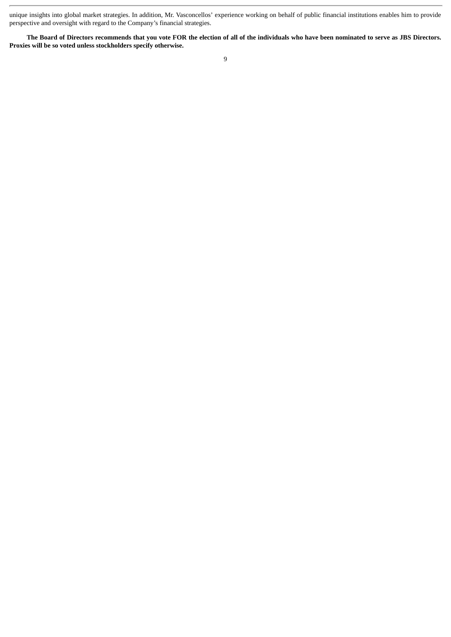unique insights into global market strategies. In addition, Mr. Vasconcellos' experience working on behalf of public financial institutions enables him to provide perspective and oversight with regard to the Company's financial strategies.

**The Board of Directors recommends that you vote FOR the election of all of the individuals who have been nominated to serve as JBS Directors. Proxies will be so voted unless stockholders specify otherwise.**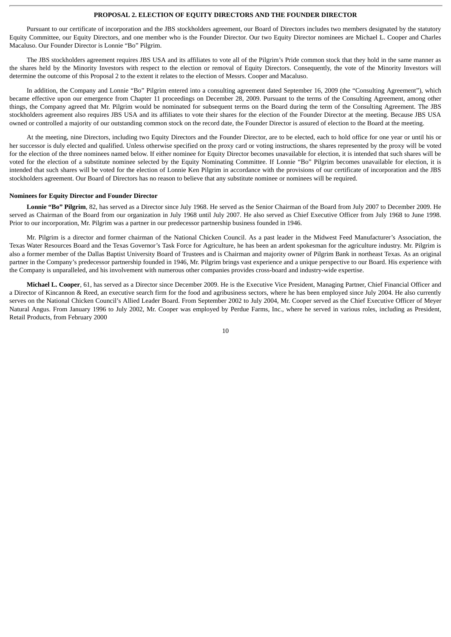## **PROPOSAL 2. ELECTION OF EQUITY DIRECTORS AND THE FOUNDER DIRECTOR**

Pursuant to our certificate of incorporation and the JBS stockholders agreement, our Board of Directors includes two members designated by the statutory Equity Committee, our Equity Directors, and one member who is the Founder Director. Our two Equity Director nominees are Michael L. Cooper and Charles Macaluso. Our Founder Director is Lonnie "Bo" Pilgrim.

The JBS stockholders agreement requires JBS USA and its affiliates to vote all of the Pilgrim's Pride common stock that they hold in the same manner as the shares held by the Minority Investors with respect to the election or removal of Equity Directors. Consequently, the vote of the Minority Investors will determine the outcome of this Proposal 2 to the extent it relates to the election of Messrs. Cooper and Macaluso.

In addition, the Company and Lonnie "Bo" Pilgrim entered into a consulting agreement dated September 16, 2009 (the "Consulting Agreement"), which became effective upon our emergence from Chapter 11 proceedings on December 28, 2009. Pursuant to the terms of the Consulting Agreement, among other things, the Company agreed that Mr. Pilgrim would be nominated for subsequent terms on the Board during the term of the Consulting Agreement. The JBS stockholders agreement also requires JBS USA and its affiliates to vote their shares for the election of the Founder Director at the meeting. Because JBS USA owned or controlled a majority of our outstanding common stock on the record date, the Founder Director is assured of election to the Board at the meeting.

At the meeting, nine Directors, including two Equity Directors and the Founder Director, are to be elected, each to hold office for one year or until his or her successor is duly elected and qualified. Unless otherwise specified on the proxy card or voting instructions, the shares represented by the proxy will be voted for the election of the three nominees named below. If either nominee for Equity Director becomes unavailable for election, it is intended that such shares will be voted for the election of a substitute nominee selected by the Equity Nominating Committee. If Lonnie "Bo" Pilgrim becomes unavailable for election, it is intended that such shares will be voted for the election of Lonnie Ken Pilgrim in accordance with the provisions of our certificate of incorporation and the JBS stockholders agreement. Our Board of Directors has no reason to believe that any substitute nominee or nominees will be required.

## **Nominees for Equity Director and Founder Director**

**Lonnie "Bo" Pilgrim**, 82, has served as a Director since July 1968. He served as the Senior Chairman of the Board from July 2007 to December 2009. He served as Chairman of the Board from our organization in July 1968 until July 2007. He also served as Chief Executive Officer from July 1968 to June 1998. Prior to our incorporation, Mr. Pilgrim was a partner in our predecessor partnership business founded in 1946.

Mr. Pilgrim is a director and former chairman of the National Chicken Council. As a past leader in the Midwest Feed Manufacturer's Association, the Texas Water Resources Board and the Texas Governor's Task Force for Agriculture, he has been an ardent spokesman for the agriculture industry. Mr. Pilgrim is also a former member of the Dallas Baptist University Board of Trustees and is Chairman and majority owner of Pilgrim Bank in northeast Texas. As an original partner in the Company's predecessor partnership founded in 1946, Mr. Pilgrim brings vast experience and a unique perspective to our Board. His experience with the Company is unparalleled, and his involvement with numerous other companies provides cross-board and industry-wide expertise.

**Michael L. Cooper**, 61, has served as a Director since December 2009. He is the Executive Vice President, Managing Partner, Chief Financial Officer and a Director of Kincannon & Reed, an executive search firm for the food and agribusiness sectors, where he has been employed since July 2004. He also currently serves on the National Chicken Council's Allied Leader Board. From September 2002 to July 2004, Mr. Cooper served as the Chief Executive Officer of Meyer Natural Angus. From January 1996 to July 2002, Mr. Cooper was employed by Perdue Farms, Inc., where he served in various roles, including as President, Retail Products, from February 2000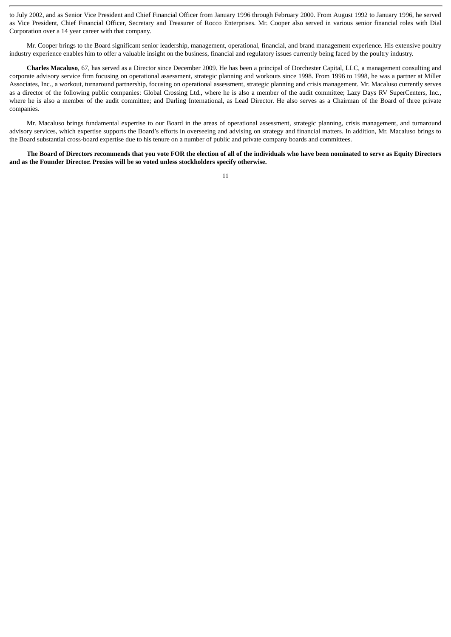to July 2002, and as Senior Vice President and Chief Financial Officer from January 1996 through February 2000. From August 1992 to January 1996, he served as Vice President, Chief Financial Officer, Secretary and Treasurer of Rocco Enterprises. Mr. Cooper also served in various senior financial roles with Dial Corporation over a 14 year career with that company.

Mr. Cooper brings to the Board significant senior leadership, management, operational, financial, and brand management experience. His extensive poultry industry experience enables him to offer a valuable insight on the business, financial and regulatory issues currently being faced by the poultry industry.

**Charles Macaluso**, 67, has served as a Director since December 2009. He has been a principal of Dorchester Capital, LLC, a management consulting and corporate advisory service firm focusing on operational assessment, strategic planning and workouts since 1998. From 1996 to 1998, he was a partner at Miller Associates, Inc., a workout, turnaround partnership, focusing on operational assessment, strategic planning and crisis management. Mr. Macaluso currently serves as a director of the following public companies: Global Crossing Ltd., where he is also a member of the audit committee; Lazy Days RV SuperCenters, Inc., where he is also a member of the audit committee; and Darling International, as Lead Director. He also serves as a Chairman of the Board of three private companies.

Mr. Macaluso brings fundamental expertise to our Board in the areas of operational assessment, strategic planning, crisis management, and turnaround advisory services, which expertise supports the Board's efforts in overseeing and advising on strategy and financial matters. In addition, Mr. Macaluso brings to the Board substantial cross-board expertise due to his tenure on a number of public and private company boards and committees.

**The Board of Directors recommends that you vote FOR the election of all of the individuals who have been nominated to serve as Equity Directors and as the Founder Director. Proxies will be so voted unless stockholders specify otherwise.**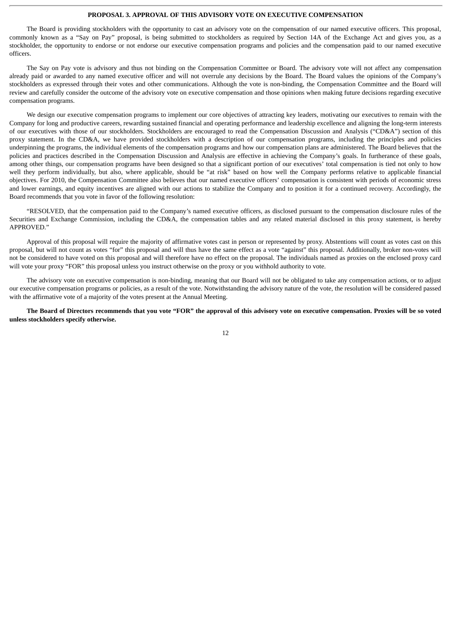## **PROPOSAL 3. APPROVAL OF THIS ADVISORY VOTE ON EXECUTIVE COMPENSATION**

The Board is providing stockholders with the opportunity to cast an advisory vote on the compensation of our named executive officers. This proposal, commonly known as a "Say on Pay" proposal, is being submitted to stockholders as required by Section 14A of the Exchange Act and gives you, as a stockholder, the opportunity to endorse or not endorse our executive compensation programs and policies and the compensation paid to our named executive officers.

The Say on Pay vote is advisory and thus not binding on the Compensation Committee or Board. The advisory vote will not affect any compensation already paid or awarded to any named executive officer and will not overrule any decisions by the Board. The Board values the opinions of the Company's stockholders as expressed through their votes and other communications. Although the vote is non-binding, the Compensation Committee and the Board will review and carefully consider the outcome of the advisory vote on executive compensation and those opinions when making future decisions regarding executive compensation programs.

We design our executive compensation programs to implement our core objectives of attracting key leaders, motivating our executives to remain with the Company for long and productive careers, rewarding sustained financial and operating performance and leadership excellence and aligning the long-term interests of our executives with those of our stockholders. Stockholders are encouraged to read the Compensation Discussion and Analysis ("CD&A") section of this proxy statement. In the CD&A, we have provided stockholders with a description of our compensation programs, including the principles and policies underpinning the programs, the individual elements of the compensation programs and how our compensation plans are administered. The Board believes that the policies and practices described in the Compensation Discussion and Analysis are effective in achieving the Company's goals. In furtherance of these goals, among other things, our compensation programs have been designed so that a significant portion of our executives' total compensation is tied not only to how well they perform individually, but also, where applicable, should be "at risk" based on how well the Company performs relative to applicable financial objectives. For 2010, the Compensation Committee also believes that our named executive officers' compensation is consistent with periods of economic stress and lower earnings, and equity incentives are aligned with our actions to stabilize the Company and to position it for a continued recovery. Accordingly, the Board recommends that you vote in favor of the following resolution:

"RESOLVED, that the compensation paid to the Company's named executive officers, as disclosed pursuant to the compensation disclosure rules of the Securities and Exchange Commission, including the CD&A, the compensation tables and any related material disclosed in this proxy statement, is hereby APPROVED."

Approval of this proposal will require the majority of affirmative votes cast in person or represented by proxy. Abstentions will count as votes cast on this proposal, but will not count as votes "for" this proposal and will thus have the same effect as a vote "against" this proposal. Additionally, broker non-votes will not be considered to have voted on this proposal and will therefore have no effect on the proposal. The individuals named as proxies on the enclosed proxy card will vote your proxy "FOR" this proposal unless you instruct otherwise on the proxy or you withhold authority to vote.

The advisory vote on executive compensation is non-binding, meaning that our Board will not be obligated to take any compensation actions, or to adjust our executive compensation programs or policies, as a result of the vote. Notwithstanding the advisory nature of the vote, the resolution will be considered passed with the affirmative vote of a majority of the votes present at the Annual Meeting.

**The Board of Directors recommends that you vote "FOR" the approval of this advisory vote on executive compensation. Proxies will be so voted unless stockholders specify otherwise.**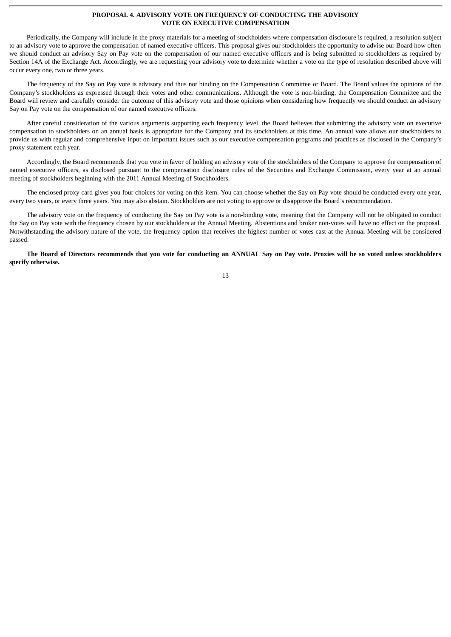## **PROPOSAL 4. ADVISORY VOTE ON FREQUENCY OF CONDUCTING THE ADVISORY VOTE ON EXECUTIVE COMPENSATION**

Periodically, the Company will include in the proxy materials for a meeting of stockholders where compensation disclosure is required, a resolution subject to an advisory vote to approve the compensation of named executive officers. This proposal gives our stockholders the opportunity to advise our Board how often we should conduct an advisory Say on Pay vote on the compensation of our named executive officers and is being submitted to stockholders as required by Section 14A of the Exchange Act. Accordingly, we are requesting your advisory vote to determine whether a vote on the type of resolution described above will occur every one, two or three years.

The frequency of the Say on Pay vote is advisory and thus not binding on the Compensation Committee or Board. The Board values the opinions of the Company's stockholders as expressed through their votes and other communications. Although the vote is non-binding, the Compensation Committee and the Board will review and carefully consider the outcome of this advisory vote and those opinions when considering how frequently we should conduct an advisory Say on Pay vote on the compensation of our named executive officers.

After careful consideration of the various arguments supporting each frequency level, the Board believes that submitting the advisory vote on executive compensation to stockholders on an annual basis is appropriate for the Company and its stockholders at this time. An annual vote allows our stockholders to provide us with regular and comprehensive input on important issues such as our executive compensation programs and practices as disclosed in the Company's proxy statement each year.

Accordingly, the Board recommends that you vote in favor of holding an advisory vote of the stockholders of the Company to approve the compensation of named executive officers, as disclosed pursuant to the compensation disclosure rules of the Securities and Exchange Commission, every year at an annual meeting of stockholders beginning with the 2011 Annual Meeting of Stockholders.

The enclosed proxy card gives you four choices for voting on this item. You can choose whether the Say on Pay vote should be conducted every one year, every two years, or every three years. You may also abstain. Stockholders are not voting to approve or disapprove the Board's recommendation.

The advisory vote on the frequency of conducting the Say on Pay vote is a non-binding vote, meaning that the Company will not be obligated to conduct the Say on Pay vote with the frequency chosen by our stockholders at the Annual Meeting. Abstentions and broker non-votes will have no effect on the proposal. Notwithstanding the advisory nature of the vote, the frequency option that receives the highest number of votes cast at the Annual Meeting will be considered passed.

**The Board of Directors recommends that you vote for conducting an ANNUAL Say on Pay vote. Proxies will be so voted unless stockholders specify otherwise.**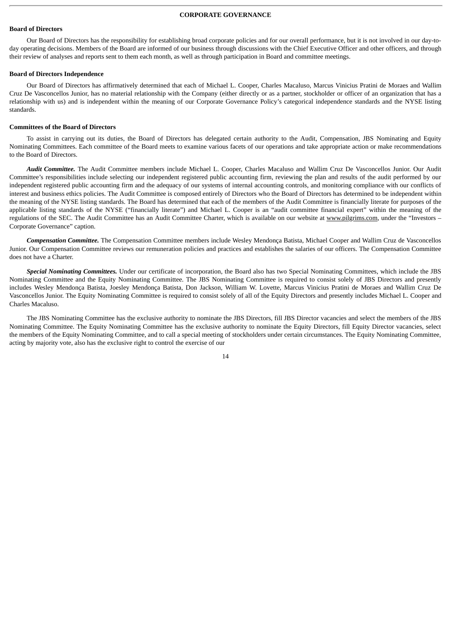## **CORPORATE GOVERNANCE**

## **Board of Directors**

Our Board of Directors has the responsibility for establishing broad corporate policies and for our overall performance, but it is not involved in our day-today operating decisions. Members of the Board are informed of our business through discussions with the Chief Executive Officer and other officers, and through their review of analyses and reports sent to them each month, as well as through participation in Board and committee meetings.

#### **Board of Directors Independence**

Our Board of Directors has affirmatively determined that each of Michael L. Cooper, Charles Macaluso, Marcus Vinicius Pratini de Moraes and Wallim Cruz De Vasconcellos Junior, has no material relationship with the Company (either directly or as a partner, stockholder or officer of an organization that has a relationship with us) and is independent within the meaning of our Corporate Governance Policy's categorical independence standards and the NYSE listing standards.

## **Committees of the Board of Directors**

To assist in carrying out its duties, the Board of Directors has delegated certain authority to the Audit, Compensation, JBS Nominating and Equity Nominating Committees. Each committee of the Board meets to examine various facets of our operations and take appropriate action or make recommendations to the Board of Directors.

*Audit Committee.* The Audit Committee members include Michael L. Cooper, Charles Macaluso and Wallim Cruz De Vasconcellos Junior. Our Audit Committee's responsibilities include selecting our independent registered public accounting firm, reviewing the plan and results of the audit performed by our independent registered public accounting firm and the adequacy of our systems of internal accounting controls, and monitoring compliance with our conflicts of interest and business ethics policies. The Audit Committee is composed entirely of Directors who the Board of Directors has determined to be independent within the meaning of the NYSE listing standards. The Board has determined that each of the members of the Audit Committee is financially literate for purposes of the applicable listing standards of the NYSE ("financially literate") and Michael L. Cooper is an "audit committee financial expert" within the meaning of the regulations of the SEC. The Audit Committee has an Audit Committee Charter, which is available on our website at www.pilgrims.com, under the "Investors -Corporate Governance" caption.

*Compensation Committee.* The Compensation Committee members include Wesley Mendonça Batista, Michael Cooper and Wallim Cruz de Vasconcellos Junior. Our Compensation Committee reviews our remuneration policies and practices and establishes the salaries of our officers. The Compensation Committee does not have a Charter.

*Special Nominating Committees.* Under our certificate of incorporation, the Board also has two Special Nominating Committees, which include the JBS Nominating Committee and the Equity Nominating Committee. The JBS Nominating Committee is required to consist solely of JBS Directors and presently includes Wesley Mendonça Batista, Joesley Mendonça Batista, Don Jackson, William W. Lovette, Marcus Vinicius Pratini de Moraes and Wallim Cruz De Vasconcellos Junior. The Equity Nominating Committee is required to consist solely of all of the Equity Directors and presently includes Michael L. Cooper and Charles Macaluso.

The JBS Nominating Committee has the exclusive authority to nominate the JBS Directors, fill JBS Director vacancies and select the members of the JBS Nominating Committee. The Equity Nominating Committee has the exclusive authority to nominate the Equity Directors, fill Equity Director vacancies, select the members of the Equity Nominating Committee, and to call a special meeting of stockholders under certain circumstances. The Equity Nominating Committee, acting by majority vote, also has the exclusive right to control the exercise of our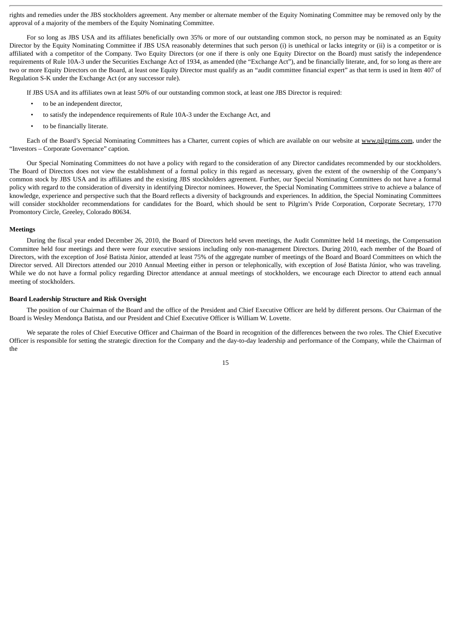rights and remedies under the JBS stockholders agreement. Any member or alternate member of the Equity Nominating Committee may be removed only by the approval of a majority of the members of the Equity Nominating Committee.

For so long as JBS USA and its affiliates beneficially own 35% or more of our outstanding common stock, no person may be nominated as an Equity Director by the Equity Nominating Committee if JBS USA reasonably determines that such person (i) is unethical or lacks integrity or (ii) is a competitor or is affiliated with a competitor of the Company. Two Equity Directors (or one if there is only one Equity Director on the Board) must satisfy the independence requirements of Rule 10A-3 under the Securities Exchange Act of 1934, as amended (the "Exchange Act"), and be financially literate, and, for so long as there are two or more Equity Directors on the Board, at least one Equity Director must qualify as an "audit committee financial expert" as that term is used in Item 407 of Regulation S-K under the Exchange Act (or any successor rule).

If JBS USA and its affiliates own at least 50% of our outstanding common stock, at least one JBS Director is required:

- to be an independent director,
- to satisfy the independence requirements of Rule 10A-3 under the Exchange Act, and
- to be financially literate.

Each of the Board's Special Nominating Committees has a Charter, current copies of which are available on our website at www.pilgrims.com, under the "Investors – Corporate Governance" caption.

Our Special Nominating Committees do not have a policy with regard to the consideration of any Director candidates recommended by our stockholders. The Board of Directors does not view the establishment of a formal policy in this regard as necessary, given the extent of the ownership of the Company's common stock by JBS USA and its affiliates and the existing JBS stockholders agreement. Further, our Special Nominating Committees do not have a formal policy with regard to the consideration of diversity in identifying Director nominees. However, the Special Nominating Committees strive to achieve a balance of knowledge, experience and perspective such that the Board reflects a diversity of backgrounds and experiences. In addition, the Special Nominating Committees will consider stockholder recommendations for candidates for the Board, which should be sent to Pilgrim's Pride Corporation, Corporate Secretary, 1770 Promontory Circle, Greeley, Colorado 80634.

#### **Meetings**

During the fiscal year ended December 26, 2010, the Board of Directors held seven meetings, the Audit Committee held 14 meetings, the Compensation Committee held four meetings and there were four executive sessions including only non-management Directors. During 2010, each member of the Board of Directors, with the exception of José Batista Júnior, attended at least 75% of the aggregate number of meetings of the Board and Board Committees on which the Director served. All Directors attended our 2010 Annual Meeting either in person or telephonically, with exception of José Batista Júnior, who was traveling. While we do not have a formal policy regarding Director attendance at annual meetings of stockholders, we encourage each Director to attend each annual meeting of stockholders.

#### **Board Leadership Structure and Risk Oversight**

The position of our Chairman of the Board and the office of the President and Chief Executive Officer are held by different persons. Our Chairman of the Board is Wesley Mendonça Batista, and our President and Chief Executive Officer is William W. Lovette.

We separate the roles of Chief Executive Officer and Chairman of the Board in recognition of the differences between the two roles. The Chief Executive Officer is responsible for setting the strategic direction for the Company and the day-to-day leadership and performance of the Company, while the Chairman of the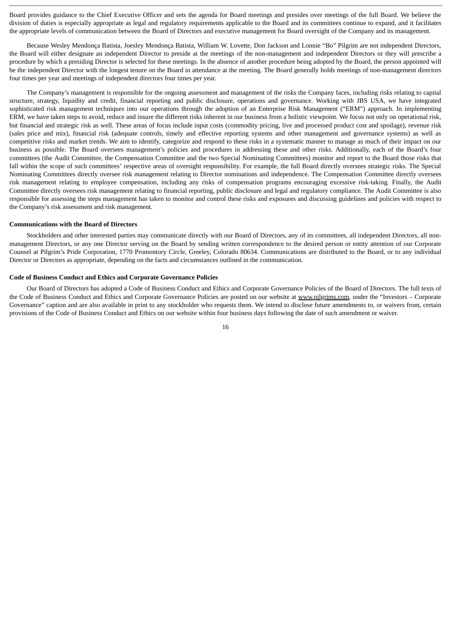Board provides guidance to the Chief Executive Officer and sets the agenda for Board meetings and presides over meetings of the full Board. We believe the division of duties is especially appropriate as legal and regulatory requirements applicable to the Board and its committees continue to expand, and it facilitates the appropriate levels of communication between the Board of Directors and executive management for Board oversight of the Company and its management.

Because Wesley Mendonça Batista, Joesley Mendonça Batista, William W. Lovette, Don Jackson and Lonnie "Bo" Pilgrim are not independent Directors, the Board will either designate an independent Director to preside at the meetings of the non-management and independent Directors or they will prescribe a procedure by which a presiding Director is selected for these meetings. In the absence of another procedure being adopted by the Board, the person appointed will be the independent Director with the longest tenure on the Board in attendance at the meeting. The Board generally holds meetings of non-management directors four times per year and meetings of independent directors four times per year.

The Company's management is responsible for the ongoing assessment and management of the risks the Company faces, including risks relating to capital structure, strategy, liquidity and credit, financial reporting and public disclosure, operations and governance. Working with JBS USA, we have integrated sophisticated risk management techniques into our operations through the adoption of an Enterprise Risk Management ("ERM") approach. In implementing ERM, we have taken steps to avoid, reduce and insure the different risks inherent in our business from a holistic viewpoint. We focus not only on operational risk, but financial and strategic risk as well. These areas of focus include input costs (commodity pricing, live and processed product cost and spoilage), revenue risk (sales price and mix), financial risk (adequate controls, timely and effective reporting systems and other management and governance systems) as well as competitive risks and market trends. We aim to identify, categorize and respond to these risks in a systematic manner to manage as much of their impact on our business as possible. The Board oversees management's policies and procedures in addressing these and other risks. Additionally, each of the Board's four committees (the Audit Committee, the Compensation Committee and the two Special Nominating Committees) monitor and report to the Board those risks that fall within the scope of such committees' respective areas of oversight responsibility. For example, the full Board directly oversees strategic risks. The Special Nominating Committees directly oversee risk management relating to Director nominations and independence. The Compensation Committee directly oversees risk management relating to employee compensation, including any risks of compensation programs encouraging excessive risk-taking. Finally, the Audit Committee directly oversees risk management relating to financial reporting, public disclosure and legal and regulatory compliance. The Audit Committee is also responsible for assessing the steps management has taken to monitor and control these risks and exposures and discussing guidelines and policies with respect to the Company's risk assessment and risk management.

#### **Communications with the Board of Directors**

Stockholders and other interested parties may communicate directly with our Board of Directors, any of its committees, all independent Directors, all nonmanagement Directors, or any one Director serving on the Board by sending written correspondence to the desired person or entity attention of our Corporate Counsel at Pilgrim's Pride Corporation, 1770 Promontory Circle, Greeley, Colorado 80634. Communications are distributed to the Board, or to any individual Director or Directors as appropriate, depending on the facts and circumstances outlined in the communication.

#### **Code of Business Conduct and Ethics and Corporate Governance Policies**

Our Board of Directors has adopted a Code of Business Conduct and Ethics and Corporate Governance Policies of the Board of Directors. The full texts of the Code of Business Conduct and Ethics and Corporate Governance Policies are posted on our website at www.pilgrims.com, under the "Investors – Corporate Governance" caption and are also available in print to any stockholder who requests them. We intend to disclose future amendments to, or waivers from, certain provisions of the Code of Business Conduct and Ethics on our website within four business days following the date of such amendment or waiver.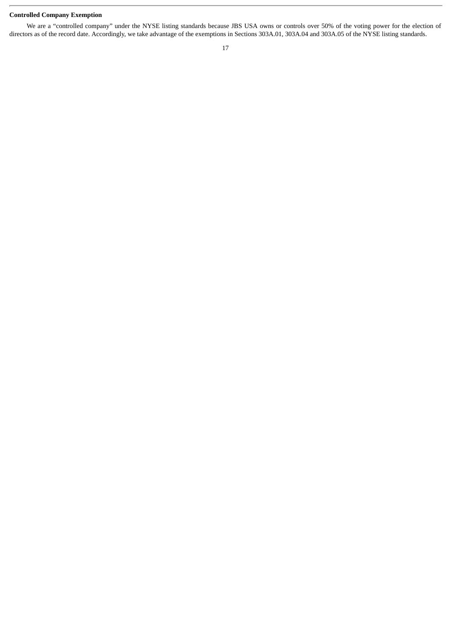## **Controlled Company Exemption**

We are a "controlled company" under the NYSE listing standards because JBS USA owns or controls over 50% of the voting power for the election of directors as of the record date. Accordingly, we take advantage of the exemptions in Sections 303A.01, 303A.04 and 303A.05 of the NYSE listing standards.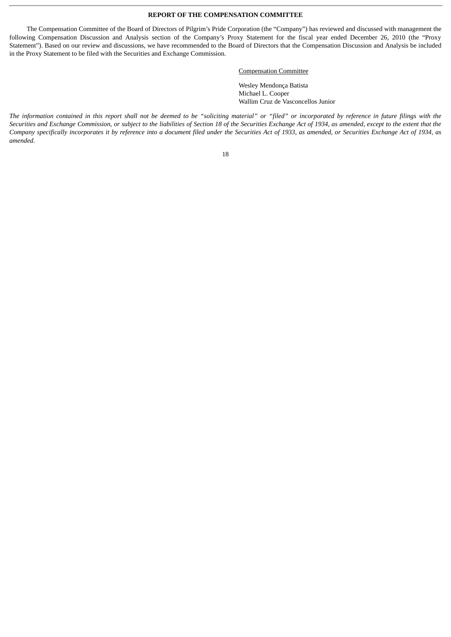## **REPORT OF THE COMPENSATION COMMITTEE**

The Compensation Committee of the Board of Directors of Pilgrim's Pride Corporation (the "Company") has reviewed and discussed with management the following Compensation Discussion and Analysis section of the Company's Proxy Statement for the fiscal year ended December 26, 2010 (the "Proxy Statement"). Based on our review and discussions, we have recommended to the Board of Directors that the Compensation Discussion and Analysis be included in the Proxy Statement to be filed with the Securities and Exchange Commission.

## Compensation Committee

Wesley Mendonça Batista Michael L. Cooper Wallim Cruz de Vasconcellos Junior

*The information contained in this report shall not be deemed to be "soliciting material" or "filed" or incorporated by reference in future filings with the Securities and Exchange Commission, or subject to the liabilities of Section 18 of the Securities Exchange Act of 1934, as amended, except to the extent that the Company specifically incorporates it by reference into a document filed under the Securities Act of 1933, as amended, or Securities Exchange Act of 1934, as amended.*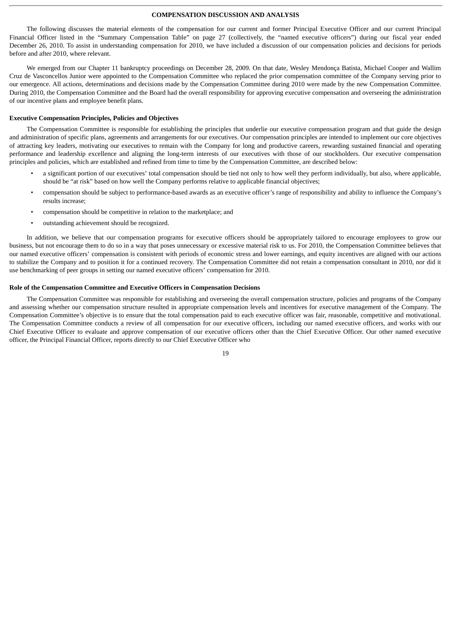## **COMPENSATION DISCUSSION AND ANALYSIS**

The following discusses the material elements of the compensation for our current and former Principal Executive Officer and our current Principal Financial Officer listed in the "Summary Compensation Table" on page 27 (collectively, the "named executive officers") during our fiscal year ended December 26, 2010. To assist in understanding compensation for 2010, we have included a discussion of our compensation policies and decisions for periods before and after 2010, where relevant.

We emerged from our Chapter 11 bankruptcy proceedings on December 28, 2009. On that date, Wesley Mendonça Batista, Michael Cooper and Wallim Cruz de Vasconcellos Junior were appointed to the Compensation Committee who replaced the prior compensation committee of the Company serving prior to our emergence. All actions, determinations and decisions made by the Compensation Committee during 2010 were made by the new Compensation Committee. During 2010, the Compensation Committee and the Board had the overall responsibility for approving executive compensation and overseeing the administration of our incentive plans and employee benefit plans.

#### **Executive Compensation Principles, Policies and Objectives**

The Compensation Committee is responsible for establishing the principles that underlie our executive compensation program and that guide the design and administration of specific plans, agreements and arrangements for our executives. Our compensation principles are intended to implement our core objectives of attracting key leaders, motivating our executives to remain with the Company for long and productive careers, rewarding sustained financial and operating performance and leadership excellence and aligning the long-term interests of our executives with those of our stockholders. Our executive compensation principles and policies, which are established and refined from time to time by the Compensation Committee, are described below:

- a significant portion of our executives' total compensation should be tied not only to how well they perform individually, but also, where applicable, should be "at risk" based on how well the Company performs relative to applicable financial objectives;
- compensation should be subject to performance-based awards as an executive officer's range of responsibility and ability to influence the Company's results increase;
- compensation should be competitive in relation to the marketplace; and
- outstanding achievement should be recognized.

In addition, we believe that our compensation programs for executive officers should be appropriately tailored to encourage employees to grow our business, but not encourage them to do so in a way that poses unnecessary or excessive material risk to us. For 2010, the Compensation Committee believes that our named executive officers' compensation is consistent with periods of economic stress and lower earnings, and equity incentives are aligned with our actions to stabilize the Company and to position it for a continued recovery. The Compensation Committee did not retain a compensation consultant in 2010, nor did it use benchmarking of peer groups in setting our named executive officers' compensation for 2010.

#### **Role of the Compensation Committee and Executive Officers in Compensation Decisions**

The Compensation Committee was responsible for establishing and overseeing the overall compensation structure, policies and programs of the Company and assessing whether our compensation structure resulted in appropriate compensation levels and incentives for executive management of the Company. The Compensation Committee's objective is to ensure that the total compensation paid to each executive officer was fair, reasonable, competitive and motivational. The Compensation Committee conducts a review of all compensation for our executive officers, including our named executive officers, and works with our Chief Executive Officer to evaluate and approve compensation of our executive officers other than the Chief Executive Officer. Our other named executive officer, the Principal Financial Officer, reports directly to our Chief Executive Officer who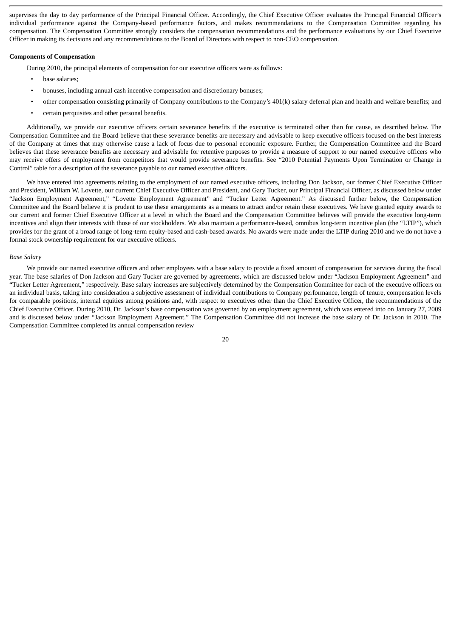supervises the day to day performance of the Principal Financial Officer. Accordingly, the Chief Executive Officer evaluates the Principal Financial Officer's individual performance against the Company-based performance factors, and makes recommendations to the Compensation Committee regarding his compensation. The Compensation Committee strongly considers the compensation recommendations and the performance evaluations by our Chief Executive Officer in making its decisions and any recommendations to the Board of Directors with respect to non-CEO compensation.

#### **Components of Compensation**

During 2010, the principal elements of compensation for our executive officers were as follows:

- base salaries;
- bonuses, including annual cash incentive compensation and discretionary bonuses;
- other compensation consisting primarily of Company contributions to the Company's 401(k) salary deferral plan and health and welfare benefits; and
- certain perquisites and other personal benefits.

Additionally, we provide our executive officers certain severance benefits if the executive is terminated other than for cause, as described below. The Compensation Committee and the Board believe that these severance benefits are necessary and advisable to keep executive officers focused on the best interests of the Company at times that may otherwise cause a lack of focus due to personal economic exposure. Further, the Compensation Committee and the Board believes that these severance benefits are necessary and advisable for retentive purposes to provide a measure of support to our named executive officers who may receive offers of employment from competitors that would provide severance benefits. See "2010 Potential Payments Upon Termination or Change in Control" table for a description of the severance payable to our named executive officers.

We have entered into agreements relating to the employment of our named executive officers, including Don Jackson, our former Chief Executive Officer and President, William W. Lovette, our current Chief Executive Officer and President, and Gary Tucker, our Principal Financial Officer, as discussed below under "Jackson Employment Agreement," "Lovette Employment Agreement" and "Tucker Letter Agreement." As discussed further below, the Compensation Committee and the Board believe it is prudent to use these arrangements as a means to attract and/or retain these executives. We have granted equity awards to our current and former Chief Executive Officer at a level in which the Board and the Compensation Committee believes will provide the executive long-term incentives and align their interests with those of our stockholders. We also maintain a performance-based, omnibus long-term incentive plan (the "LTIP"), which provides for the grant of a broad range of long-term equity-based and cash-based awards. No awards were made under the LTIP during 2010 and we do not have a formal stock ownership requirement for our executive officers.

#### *Base Salary*

We provide our named executive officers and other employees with a base salary to provide a fixed amount of compensation for services during the fiscal year. The base salaries of Don Jackson and Gary Tucker are governed by agreements, which are discussed below under "Jackson Employment Agreement" and "Tucker Letter Agreement," respectively. Base salary increases are subjectively determined by the Compensation Committee for each of the executive officers on an individual basis, taking into consideration a subjective assessment of individual contributions to Company performance, length of tenure, compensation levels for comparable positions, internal equities among positions and, with respect to executives other than the Chief Executive Officer, the recommendations of the Chief Executive Officer. During 2010, Dr. Jackson's base compensation was governed by an employment agreement, which was entered into on January 27, 2009 and is discussed below under "Jackson Employment Agreement." The Compensation Committee did not increase the base salary of Dr. Jackson in 2010. The Compensation Committee completed its annual compensation review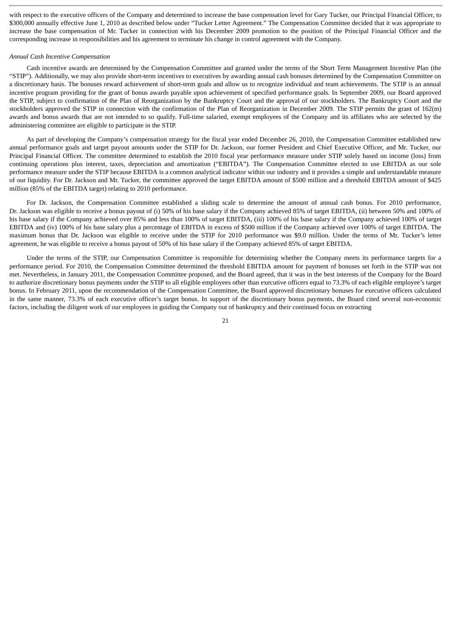with respect to the executive officers of the Company and determined to increase the base compensation level for Gary Tucker, our Principal Financial Officer, to \$300,000 annually effective June 1, 2010 as described below under "Tucker Letter Agreement." The Compensation Committee decided that it was appropriate to increase the base compensation of Mr. Tucker in connection with his December 2009 promotion to the position of the Principal Financial Officer and the corresponding increase in responsibilities and his agreement to terminate his change in control agreement with the Company.

#### *Annual Cash Incentive Compensation*

Cash incentive awards are determined by the Compensation Committee and granted under the terms of the Short Term Management Incentive Plan (the "STIP"). Additionally, we may also provide short-term incentives to executives by awarding annual cash bonuses determined by the Compensation Committee on a discretionary basis. The bonuses reward achievement of short-term goals and allow us to recognize individual and team achievements. The STIP is an annual incentive program providing for the grant of bonus awards payable upon achievement of specified performance goals. In September 2009, our Board approved the STIP, subject to confirmation of the Plan of Reorganization by the Bankruptcy Court and the approval of our stockholders. The Bankruptcy Court and the stockholders approved the STIP in connection with the confirmation of the Plan of Reorganization in December 2009. The STIP permits the grant of 162(m) awards and bonus awards that are not intended to so qualify. Full-time salaried, exempt employees of the Company and its affiliates who are selected by the administering committee are eligible to participate in the STIP.

As part of developing the Company's compensation strategy for the fiscal year ended December 26, 2010, the Compensation Committee established new annual performance goals and target payout amounts under the STIP for Dr. Jackson, our former President and Chief Executive Officer, and Mr. Tucker, our Principal Financial Officer. The committee determined to establish the 2010 fiscal year performance measure under STIP solely based on income (loss) from continuing operations plus interest, taxes, depreciation and amortization ("EBITDA"). The Compensation Committee elected to use EBITDA as our sole performance measure under the STIP because EBITDA is a common analytical indicator within our industry and it provides a simple and understandable measure of our liquidity. For Dr. Jackson and Mr. Tucker, the committee approved the target EBITDA amount of \$500 million and a threshold EBITDA amount of \$425 million (85% of the EBITDA target) relating to 2010 performance.

For Dr. Jackson, the Compensation Committee established a sliding scale to determine the amount of annual cash bonus. For 2010 performance, Dr. Jackson was eligible to receive a bonus payout of (i) 50% of his base salary if the Company achieved 85% of target EBITDA, (ii) between 50% and 100% of his base salary if the Company achieved over 85% and less than 100% of target EBITDA, (iii) 100% of his base salary if the Company achieved 100% of target EBITDA and (iv) 100% of his base salary plus a percentage of EBITDA in excess of \$500 million if the Company achieved over 100% of target EBITDA. The maximum bonus that Dr. Jackson was eligible to receive under the STIP for 2010 performance was \$9.0 million. Under the terms of Mr. Tucker's letter agreement, he was eligible to receive a bonus payout of 50% of his base salary if the Company achieved 85% of target EBITDA.

Under the terms of the STIP, our Compensation Committee is responsible for determining whether the Company meets its performance targets for a performance period. For 2010, the Compensation Committee determined the threshold EBITDA amount for payment of bonuses set forth in the STIP was not met. Nevertheless, in January 2011, the Compensation Committee proposed, and the Board agreed, that it was in the best interests of the Company for the Board to authorize discretionary bonus payments under the STIP to all eligible employees other than executive officers equal to 73.3% of each eligible employee's target bonus. In February 2011, upon the recommendation of the Compensation Committee, the Board approved discretionary bonuses for executive officers calculated in the same manner, 73.3% of each executive officer's target bonus. In support of the discretionary bonus payments, the Board cited several non-economic factors, including the diligent work of our employees in guiding the Company out of bankruptcy and their continued focus on extracting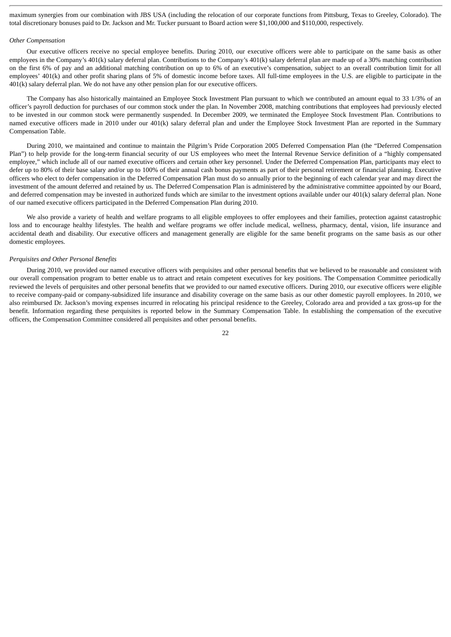maximum synergies from our combination with JBS USA (including the relocation of our corporate functions from Pittsburg, Texas to Greeley, Colorado). The total discretionary bonuses paid to Dr. Jackson and Mr. Tucker pursuant to Board action were \$1,100,000 and \$110,000, respectively.

#### *Other Compensation*

Our executive officers receive no special employee benefits. During 2010, our executive officers were able to participate on the same basis as other employees in the Company's 401(k) salary deferral plan. Contributions to the Company's 401(k) salary deferral plan are made up of a 30% matching contribution on the first 6% of pay and an additional matching contribution on up to 6% of an executive's compensation, subject to an overall contribution limit for all employees' 401(k) and other profit sharing plans of 5% of domestic income before taxes. All full-time employees in the U.S. are eligible to participate in the 401(k) salary deferral plan. We do not have any other pension plan for our executive officers.

The Company has also historically maintained an Employee Stock Investment Plan pursuant to which we contributed an amount equal to 33 1/3% of an officer's payroll deduction for purchases of our common stock under the plan. In November 2008, matching contributions that employees had previously elected to be invested in our common stock were permanently suspended. In December 2009, we terminated the Employee Stock Investment Plan. Contributions to named executive officers made in 2010 under our 401(k) salary deferral plan and under the Employee Stock Investment Plan are reported in the Summary Compensation Table.

During 2010, we maintained and continue to maintain the Pilgrim's Pride Corporation 2005 Deferred Compensation Plan (the "Deferred Compensation Plan") to help provide for the long-term financial security of our US employees who meet the Internal Revenue Service definition of a "highly compensated employee," which include all of our named executive officers and certain other key personnel. Under the Deferred Compensation Plan, participants may elect to defer up to 80% of their base salary and/or up to 100% of their annual cash bonus payments as part of their personal retirement or financial planning. Executive officers who elect to defer compensation in the Deferred Compensation Plan must do so annually prior to the beginning of each calendar year and may direct the investment of the amount deferred and retained by us. The Deferred Compensation Plan is administered by the administrative committee appointed by our Board, and deferred compensation may be invested in authorized funds which are similar to the investment options available under our 401(k) salary deferral plan. None of our named executive officers participated in the Deferred Compensation Plan during 2010.

We also provide a variety of health and welfare programs to all eligible employees to offer employees and their families, protection against catastrophic loss and to encourage healthy lifestyles. The health and welfare programs we offer include medical, wellness, pharmacy, dental, vision, life insurance and accidental death and disability. Our executive officers and management generally are eligible for the same benefit programs on the same basis as our other domestic employees.

#### *Perquisites and Other Personal Benefits*

During 2010, we provided our named executive officers with perquisites and other personal benefits that we believed to be reasonable and consistent with our overall compensation program to better enable us to attract and retain competent executives for key positions. The Compensation Committee periodically reviewed the levels of perquisites and other personal benefits that we provided to our named executive officers. During 2010, our executive officers were eligible to receive company-paid or company-subsidized life insurance and disability coverage on the same basis as our other domestic payroll employees. In 2010, we also reimbursed Dr. Jackson's moving expenses incurred in relocating his principal residence to the Greeley, Colorado area and provided a tax gross-up for the benefit. Information regarding these perquisites is reported below in the Summary Compensation Table. In establishing the compensation of the executive officers, the Compensation Committee considered all perquisites and other personal benefits.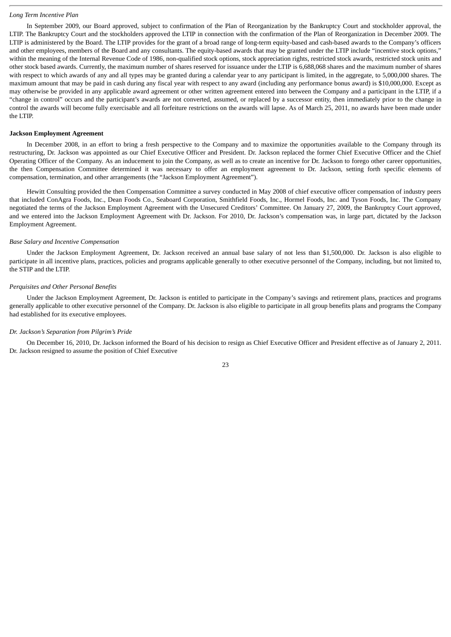## *Long Term Incentive Plan*

In September 2009, our Board approved, subject to confirmation of the Plan of Reorganization by the Bankruptcy Court and stockholder approval, the LTIP. The Bankruptcy Court and the stockholders approved the LTIP in connection with the confirmation of the Plan of Reorganization in December 2009. The LTIP is administered by the Board. The LTIP provides for the grant of a broad range of long-term equity-based and cash-based awards to the Company's officers and other employees, members of the Board and any consultants. The equity-based awards that may be granted under the LTIP include "incentive stock options," within the meaning of the Internal Revenue Code of 1986, non-qualified stock options, stock appreciation rights, restricted stock awards, restricted stock units and other stock based awards. Currently, the maximum number of shares reserved for issuance under the LTIP is 6,688,068 shares and the maximum number of shares with respect to which awards of any and all types may be granted during a calendar year to any participant is limited, in the aggregate, to 5,000,000 shares. The maximum amount that may be paid in cash during any fiscal year with respect to any award (including any performance bonus award) is \$10,000,000. Except as may otherwise be provided in any applicable award agreement or other written agreement entered into between the Company and a participant in the LTIP, if a "change in control" occurs and the participant's awards are not converted, assumed, or replaced by a successor entity, then immediately prior to the change in control the awards will become fully exercisable and all forfeiture restrictions on the awards will lapse. As of March 25, 2011, no awards have been made under the LTIP.

#### **Jackson Employment Agreement**

In December 2008, in an effort to bring a fresh perspective to the Company and to maximize the opportunities available to the Company through its restructuring, Dr. Jackson was appointed as our Chief Executive Officer and President. Dr. Jackson replaced the former Chief Executive Officer and the Chief Operating Officer of the Company. As an inducement to join the Company, as well as to create an incentive for Dr. Jackson to forego other career opportunities, the then Compensation Committee determined it was necessary to offer an employment agreement to Dr. Jackson, setting forth specific elements of compensation, termination, and other arrangements (the "Jackson Employment Agreement").

Hewitt Consulting provided the then Compensation Committee a survey conducted in May 2008 of chief executive officer compensation of industry peers that included ConAgra Foods, Inc., Dean Foods Co., Seaboard Corporation, Smithfield Foods, Inc., Hormel Foods, Inc. and Tyson Foods, Inc. The Company negotiated the terms of the Jackson Employment Agreement with the Unsecured Creditors' Committee. On January 27, 2009, the Bankruptcy Court approved, and we entered into the Jackson Employment Agreement with Dr. Jackson. For 2010, Dr. Jackson's compensation was, in large part, dictated by the Jackson Employment Agreement.

#### *Base Salary and Incentive Compensation*

Under the Jackson Employment Agreement, Dr. Jackson received an annual base salary of not less than \$1,500,000. Dr. Jackson is also eligible to participate in all incentive plans, practices, policies and programs applicable generally to other executive personnel of the Company, including, but not limited to, the STIP and the LTIP.

#### *Perquisites and Other Personal Benefits*

Under the Jackson Employment Agreement, Dr. Jackson is entitled to participate in the Company's savings and retirement plans, practices and programs generally applicable to other executive personnel of the Company. Dr. Jackson is also eligible to participate in all group benefits plans and programs the Company had established for its executive employees.

#### *Dr. Jackson's Separation from Pilgrim's Pride*

On December 16, 2010, Dr. Jackson informed the Board of his decision to resign as Chief Executive Officer and President effective as of January 2, 2011. Dr. Jackson resigned to assume the position of Chief Executive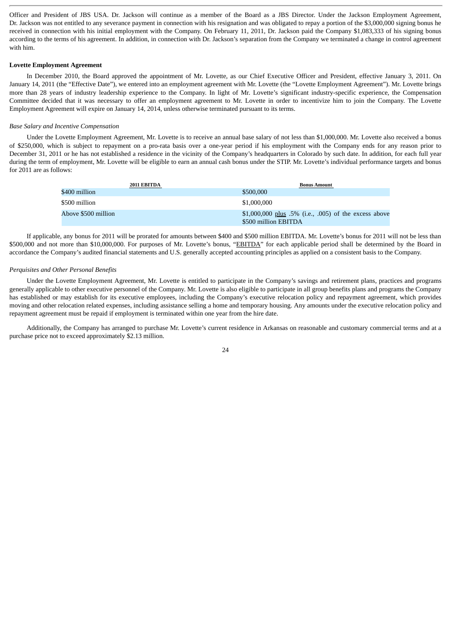Officer and President of JBS USA. Dr. Jackson will continue as a member of the Board as a JBS Director. Under the Jackson Employment Agreement, Dr. Jackson was not entitled to any severance payment in connection with his resignation and was obligated to repay a portion of the \$3,000,000 signing bonus he received in connection with his initial employment with the Company. On February 11, 2011, Dr. Jackson paid the Company \$1,083,333 of his signing bonus according to the terms of his agreement. In addition, in connection with Dr. Jackson's separation from the Company we terminated a change in control agreement with him.

#### **Lovette Employment Agreement**

In December 2010, the Board approved the appointment of Mr. Lovette, as our Chief Executive Officer and President, effective January 3, 2011. On January 14, 2011 (the "Effective Date"), we entered into an employment agreement with Mr. Lovette (the "Lovette Employment Agreement"). Mr. Lovette brings more than 28 years of industry leadership experience to the Company. In light of Mr. Lovette's significant industry-specific experience, the Compensation Committee decided that it was necessary to offer an employment agreement to Mr. Lovette in order to incentivize him to join the Company. The Lovette Employment Agreement will expire on January 14, 2014, unless otherwise terminated pursuant to its terms.

## *Base Salary and Incentive Compensation*

Under the Lovette Employment Agreement, Mr. Lovette is to receive an annual base salary of not less than \$1,000,000. Mr. Lovette also received a bonus of \$250,000, which is subject to repayment on a pro-rata basis over a one-year period if his employment with the Company ends for any reason prior to December 31, 2011 or he has not established a residence in the vicinity of the Company's headquarters in Colorado by such date. In addition, for each full year during the term of employment, Mr. Lovette will be eligible to earn an annual cash bonus under the STIP. Mr. Lovette's individual performance targets and bonus for 2011 are as follows:

| 2011 EBITDA         | <b>Bonus Amount</b>                                                           |
|---------------------|-------------------------------------------------------------------------------|
| \$400 million       | \$500,000                                                                     |
| \$500 million       | \$1,000,000                                                                   |
| Above \$500 million | \$1,000,000 plus .5% (i.e., .005) of the excess above<br>\$500 million EBITDA |

If applicable, any bonus for 2011 will be prorated for amounts between \$400 and \$500 million EBITDA. Mr. Lovette's bonus for 2011 will not be less than \$500,000 and not more than \$10,000,000. For purposes of Mr. Lovette's bonus, "EBITDA" for each applicable period shall be determined by the Board in accordance the Company's audited financial statements and U.S. generally accepted accounting principles as applied on a consistent basis to the Company.

## *Perquisites and Other Personal Benefits*

Under the Lovette Employment Agreement, Mr. Lovette is entitled to participate in the Company's savings and retirement plans, practices and programs generally applicable to other executive personnel of the Company. Mr. Lovette is also eligible to participate in all group benefits plans and programs the Company has established or may establish for its executive employees, including the Company's executive relocation policy and repayment agreement, which provides moving and other relocation related expenses, including assistance selling a home and temporary housing. Any amounts under the executive relocation policy and repayment agreement must be repaid if employment is terminated within one year from the hire date.

Additionally, the Company has arranged to purchase Mr. Lovette's current residence in Arkansas on reasonable and customary commercial terms and at a purchase price not to exceed approximately \$2.13 million.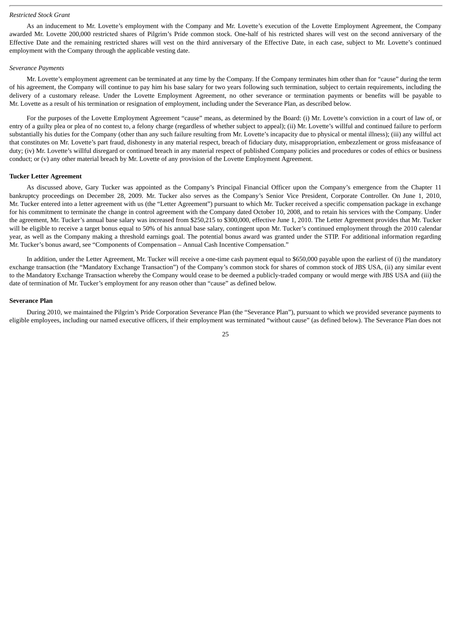#### *Restricted Stock Grant*

As an inducement to Mr. Lovette's employment with the Company and Mr. Lovette's execution of the Lovette Employment Agreement, the Company awarded Mr. Lovette 200,000 restricted shares of Pilgrim's Pride common stock. One-half of his restricted shares will vest on the second anniversary of the Effective Date and the remaining restricted shares will vest on the third anniversary of the Effective Date, in each case, subject to Mr. Lovette's continued employment with the Company through the applicable vesting date.

#### *Severance Payments*

Mr. Lovette's employment agreement can be terminated at any time by the Company. If the Company terminates him other than for "cause" during the term of his agreement, the Company will continue to pay him his base salary for two years following such termination, subject to certain requirements, including the delivery of a customary release. Under the Lovette Employment Agreement, no other severance or termination payments or benefits will be payable to Mr. Lovette as a result of his termination or resignation of employment, including under the Severance Plan, as described below.

For the purposes of the Lovette Employment Agreement "cause" means, as determined by the Board: (i) Mr. Lovette's conviction in a court of law of, or entry of a guilty plea or plea of no contest to, a felony charge (regardless of whether subject to appeal); (ii) Mr. Lovette's willful and continued failure to perform substantially his duties for the Company (other than any such failure resulting from Mr. Lovette's incapacity due to physical or mental illness); (iii) any willful act that constitutes on Mr. Lovette's part fraud, dishonesty in any material respect, breach of fiduciary duty, misappropriation, embezzlement or gross misfeasance of duty; (iv) Mr. Lovette's willful disregard or continued breach in any material respect of published Company policies and procedures or codes of ethics or business conduct; or (v) any other material breach by Mr. Lovette of any provision of the Lovette Employment Agreement.

#### **Tucker Letter Agreement**

As discussed above, Gary Tucker was appointed as the Company's Principal Financial Officer upon the Company's emergence from the Chapter 11 bankruptcy proceedings on December 28, 2009. Mr. Tucker also serves as the Company's Senior Vice President, Corporate Controller. On June 1, 2010, Mr. Tucker entered into a letter agreement with us (the "Letter Agreement") pursuant to which Mr. Tucker received a specific compensation package in exchange for his commitment to terminate the change in control agreement with the Company dated October 10, 2008, and to retain his services with the Company. Under the agreement, Mr. Tucker's annual base salary was increased from \$250,215 to \$300,000, effective June 1, 2010. The Letter Agreement provides that Mr. Tucker will be eligible to receive a target bonus equal to 50% of his annual base salary, contingent upon Mr. Tucker's continued employment through the 2010 calendar year, as well as the Company making a threshold earnings goal. The potential bonus award was granted under the STIP. For additional information regarding Mr. Tucker's bonus award, see "Components of Compensation – Annual Cash Incentive Compensation."

In addition, under the Letter Agreement, Mr. Tucker will receive a one-time cash payment equal to \$650,000 payable upon the earliest of (i) the mandatory exchange transaction (the "Mandatory Exchange Transaction") of the Company's common stock for shares of common stock of JBS USA, (ii) any similar event to the Mandatory Exchange Transaction whereby the Company would cease to be deemed a publicly-traded company or would merge with JBS USA and (iii) the date of termination of Mr. Tucker's employment for any reason other than "cause" as defined below.

#### **Severance Plan**

During 2010, we maintained the Pilgrim's Pride Corporation Severance Plan (the "Severance Plan"), pursuant to which we provided severance payments to eligible employees, including our named executive officers, if their employment was terminated "without cause" (as defined below). The Severance Plan does not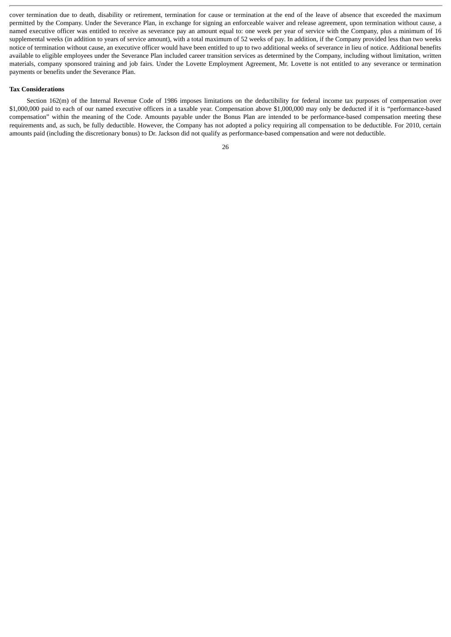cover termination due to death, disability or retirement, termination for cause or termination at the end of the leave of absence that exceeded the maximum permitted by the Company. Under the Severance Plan, in exchange for signing an enforceable waiver and release agreement, upon termination without cause, a named executive officer was entitled to receive as severance pay an amount equal to: one week per year of service with the Company, plus a minimum of 16 supplemental weeks (in addition to years of service amount), with a total maximum of 52 weeks of pay. In addition, if the Company provided less than two weeks notice of termination without cause, an executive officer would have been entitled to up to two additional weeks of severance in lieu of notice. Additional benefits available to eligible employees under the Severance Plan included career transition services as determined by the Company, including without limitation, written materials, company sponsored training and job fairs. Under the Lovette Employment Agreement, Mr. Lovette is not entitled to any severance or termination payments or benefits under the Severance Plan.

## **Tax Considerations**

Section 162(m) of the Internal Revenue Code of 1986 imposes limitations on the deductibility for federal income tax purposes of compensation over \$1,000,000 paid to each of our named executive officers in a taxable year. Compensation above \$1,000,000 may only be deducted if it is "performance-based compensation" within the meaning of the Code. Amounts payable under the Bonus Plan are intended to be performance-based compensation meeting these requirements and, as such, be fully deductible. However, the Company has not adopted a policy requiring all compensation to be deductible. For 2010, certain amounts paid (including the discretionary bonus) to Dr. Jackson did not qualify as performance-based compensation and were not deductible.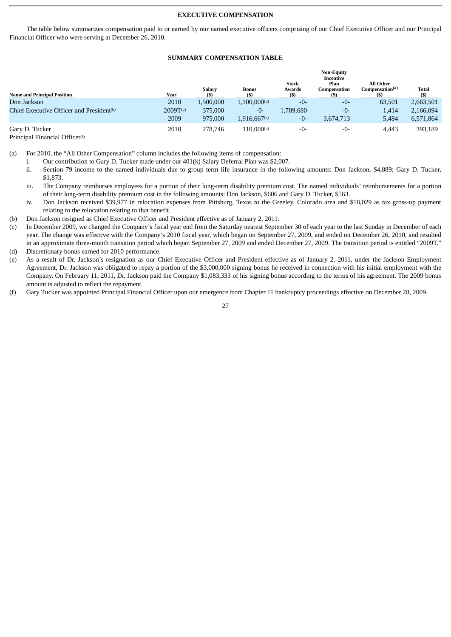## **EXECUTIVE COMPENSATION**

The table below summarizes compensation paid to or earned by our named executive officers comprising of our Chief Executive Officer and our Principal Financial Officer who were serving at December 26, 2010.

## **SUMMARY COMPENSATION TABLE**

|                                                                    |                      | Salary    | <b>Bonus</b>               | <b>Stock</b><br>Awards | <b>Non-Equity</b><br>Incentive<br>Plan<br>Compensation | All Other<br>Compensation <sup>(a)</sup> | <b>Total</b> |
|--------------------------------------------------------------------|----------------------|-----------|----------------------------|------------------------|--------------------------------------------------------|------------------------------------------|--------------|
| <b>Name and Principal Position</b>                                 | <b>Year</b>          |           |                            | (S)                    |                                                        |                                          | (S)          |
| Don Jackson                                                        | 2010                 | 1,500,000 | $1,100,000$ <sup>(d)</sup> | -0-                    | -0-                                                    | 63,501                                   | 2,663,501    |
| Chief Executive Officer and President <sup>(b)</sup>               | 2009T <sub>(c)</sub> | 375,000   | -0-                        | 1.789.680              | -0-                                                    | 1,414                                    | 2,166,094    |
|                                                                    | 2009                 | 975,000   | 1,916,667(e)               | -0-                    | 3.674.713                                              | 5,484                                    | 6,571,864    |
| Gary D. Tucker<br>$\cdot$ $\cdot$ $\sim$ $\cdot$ $\cdot$<br>$\sim$ | 2010                 | 278.746   | $110,000$ <sup>(d)</sup>   | -0-                    | -0-                                                    | 4,443                                    | 393,189      |

Principal Financial Officer<sup>(f)</sup>

- i. Our contribution to Gary D. Tucker made under our 401(k) Salary Deferral Plan was \$2,007.
- ii. Section 79 income to the named individuals due to group term life insurance in the following amounts: Don Jackson, \$4,889; Gary D. Tucker, \$1,873.
- iii. The Company reimburses employees for a portion of their long-term disability premium cost. The named individuals' reimbursements for a portion of their long-term disability premium cost in the following amounts: Don Jackson, \$606 and Gary D. Tucker, \$563.
- iv. Don Jackson received \$39,977 in relocation expenses from Pittsburg, Texas to the Greeley, Colorado area and \$18,029 as tax gross-up payment relating to the relocation relating to that benefit.
- (b) Don Jackson resigned as Chief Executive Officer and President effective as of January 2, 2011.
- (c) In December 2009, we changed the Company's fiscal year end from the Saturday nearest September 30 of each year to the last Sunday in December of each year. The change was effective with the Company's 2010 fiscal year, which began on September 27, 2009, and ended on December 26, 2010, and resulted in an approximate three-month transition period which began September 27, 2009 and ended December 27, 2009. The transition period is entitled "2009T." (d) Discretionary bonus earned for 2010 performance.
- (e) As a result of Dr. Jackson's resignation as our Chief Executive Officer and President effective as of January 2, 2011, under the Jackson Employment Agreement, Dr. Jackson was obligated to repay a portion of the \$3,000,000 signing bonus he received in connection with his initial employment with the Company. On February 11, 2011, Dr. Jackson paid the Company \$1,083,333 of his signing bonus according to the terms of his agreement. The 2009 bonus amount is adjusted to reflect the repayment.
- (f) Gary Tucker was appointed Principal Financial Officer upon our emergence from Chapter 11 bankruptcy proceedings effective on December 28, 2009.

<sup>(</sup>a) For 2010, the "All Other Compensation" column includes the following items of compensation: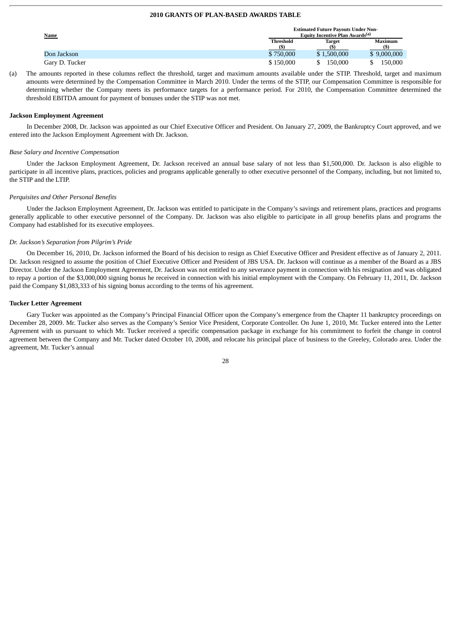## **2010 GRANTS OF PLAN-BASED AWARDS TABLE**

| <u>Name</u>    |                  | <b>Estimated Future Payouts Under Non-</b><br>Equity Incentive Plan Awards <sup>(a)</sup> |                |
|----------------|------------------|-------------------------------------------------------------------------------------------|----------------|
|                | <b>Threshold</b> | <b>Target</b>                                                                             | <b>Maximum</b> |
|                |                  |                                                                                           |                |
| Don Jackson    | \$750,000        | \$1,500,000                                                                               | \$9,000,000    |
| Garv D. Tucker | \$150,000        | 150,000                                                                                   | 150,000        |

(a) The amounts reported in these columns reflect the threshold, target and maximum amounts available under the STIP. Threshold, target and maximum amounts were determined by the Compensation Committee in March 2010. Under the terms of the STIP, our Compensation Committee is responsible for determining whether the Company meets its performance targets for a performance period. For 2010, the Compensation Committee determined the threshold EBITDA amount for payment of bonuses under the STIP was not met.

#### **Jackson Employment Agreement**

In December 2008, Dr. Jackson was appointed as our Chief Executive Officer and President. On January 27, 2009, the Bankruptcy Court approved, and we entered into the Jackson Employment Agreement with Dr. Jackson.

#### *Base Salary and Incentive Compensation*

Under the Jackson Employment Agreement, Dr. Jackson received an annual base salary of not less than \$1,500,000. Dr. Jackson is also eligible to participate in all incentive plans, practices, policies and programs applicable generally to other executive personnel of the Company, including, but not limited to, the STIP and the LTIP.

#### *Perquisites and Other Personal Benefits*

Under the Jackson Employment Agreement, Dr. Jackson was entitled to participate in the Company's savings and retirement plans, practices and programs generally applicable to other executive personnel of the Company. Dr. Jackson was also eligible to participate in all group benefits plans and programs the Company had established for its executive employees.

#### *Dr. Jackson's Separation from Pilgrim's Pride*

On December 16, 2010, Dr. Jackson informed the Board of his decision to resign as Chief Executive Officer and President effective as of January 2, 2011. Dr. Jackson resigned to assume the position of Chief Executive Officer and President of JBS USA. Dr. Jackson will continue as a member of the Board as a JBS Director. Under the Jackson Employment Agreement, Dr. Jackson was not entitled to any severance payment in connection with his resignation and was obligated to repay a portion of the \$3,000,000 signing bonus he received in connection with his initial employment with the Company. On February 11, 2011, Dr. Jackson paid the Company \$1,083,333 of his signing bonus according to the terms of his agreement.

#### **Tucker Letter Agreement**

Gary Tucker was appointed as the Company's Principal Financial Officer upon the Company's emergence from the Chapter 11 bankruptcy proceedings on December 28, 2009. Mr. Tucker also serves as the Company's Senior Vice President, Corporate Controller. On June 1, 2010, Mr. Tucker entered into the Letter Agreement with us pursuant to which Mr. Tucker received a specific compensation package in exchange for his commitment to forfeit the change in control agreement between the Company and Mr. Tucker dated October 10, 2008, and relocate his principal place of business to the Greeley, Colorado area. Under the agreement, Mr. Tucker's annual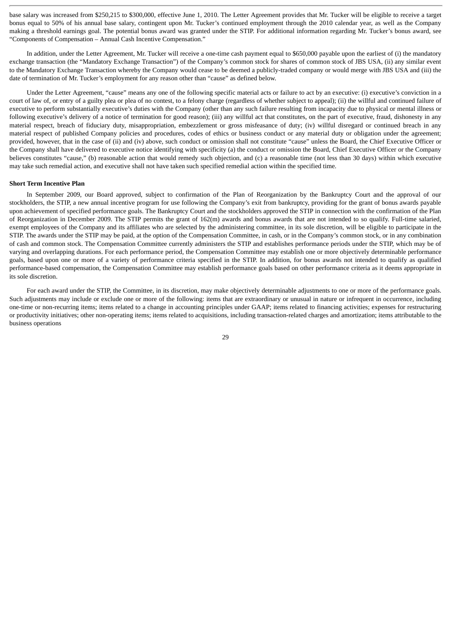base salary was increased from \$250,215 to \$300,000, effective June 1, 2010. The Letter Agreement provides that Mr. Tucker will be eligible to receive a target bonus equal to 50% of his annual base salary, contingent upon Mr. Tucker's continued employment through the 2010 calendar year, as well as the Company making a threshold earnings goal. The potential bonus award was granted under the STIP. For additional information regarding Mr. Tucker's bonus award, see "Components of Compensation – Annual Cash Incentive Compensation."

In addition, under the Letter Agreement, Mr. Tucker will receive a one-time cash payment equal to \$650,000 payable upon the earliest of (i) the mandatory exchange transaction (the "Mandatory Exchange Transaction") of the Company's common stock for shares of common stock of JBS USA, (ii) any similar event to the Mandatory Exchange Transaction whereby the Company would cease to be deemed a publicly-traded company or would merge with JBS USA and (iii) the date of termination of Mr. Tucker's employment for any reason other than "cause" as defined below.

Under the Letter Agreement, "cause" means any one of the following specific material acts or failure to act by an executive: (i) executive's conviction in a court of law of, or entry of a guilty plea or plea of no contest, to a felony charge (regardless of whether subject to appeal); (ii) the willful and continued failure of executive to perform substantially executive's duties with the Company (other than any such failure resulting from incapacity due to physical or mental illness or following executive's delivery of a notice of termination for good reason); (iii) any willful act that constitutes, on the part of executive, fraud, dishonesty in any material respect, breach of fiduciary duty, misappropriation, embezzlement or gross misfeasance of duty; (iv) willful disregard or continued breach in any material respect of published Company policies and procedures, codes of ethics or business conduct or any material duty or obligation under the agreement; provided, however, that in the case of (ii) and (iv) above, such conduct or omission shall not constitute "cause" unless the Board, the Chief Executive Officer or the Company shall have delivered to executive notice identifying with specificity (a) the conduct or omission the Board, Chief Executive Officer or the Company believes constitutes "cause," (b) reasonable action that would remedy such objection, and (c) a reasonable time (not less than 30 days) within which executive may take such remedial action, and executive shall not have taken such specified remedial action within the specified time.

#### **Short Term Incentive Plan**

In September 2009, our Board approved, subject to confirmation of the Plan of Reorganization by the Bankruptcy Court and the approval of our stockholders, the STIP, a new annual incentive program for use following the Company's exit from bankruptcy, providing for the grant of bonus awards payable upon achievement of specified performance goals. The Bankruptcy Court and the stockholders approved the STIP in connection with the confirmation of the Plan of Reorganization in December 2009. The STIP permits the grant of 162(m) awards and bonus awards that are not intended to so qualify. Full-time salaried, exempt employees of the Company and its affiliates who are selected by the administering committee, in its sole discretion, will be eligible to participate in the STIP. The awards under the STIP may be paid, at the option of the Compensation Committee, in cash, or in the Company's common stock, or in any combination of cash and common stock. The Compensation Committee currently administers the STIP and establishes performance periods under the STIP, which may be of varying and overlapping durations. For each performance period, the Compensation Committee may establish one or more objectively determinable performance goals, based upon one or more of a variety of performance criteria specified in the STIP. In addition, for bonus awards not intended to qualify as qualified performance-based compensation, the Compensation Committee may establish performance goals based on other performance criteria as it deems appropriate in its sole discretion.

For each award under the STIP, the Committee, in its discretion, may make objectively determinable adjustments to one or more of the performance goals. Such adjustments may include or exclude one or more of the following: items that are extraordinary or unusual in nature or infrequent in occurrence, including one-time or non-recurring items; items related to a change in accounting principles under GAAP; items related to financing activities; expenses for restructuring or productivity initiatives; other non-operating items; items related to acquisitions, including transaction-related charges and amortization; items attributable to the business operations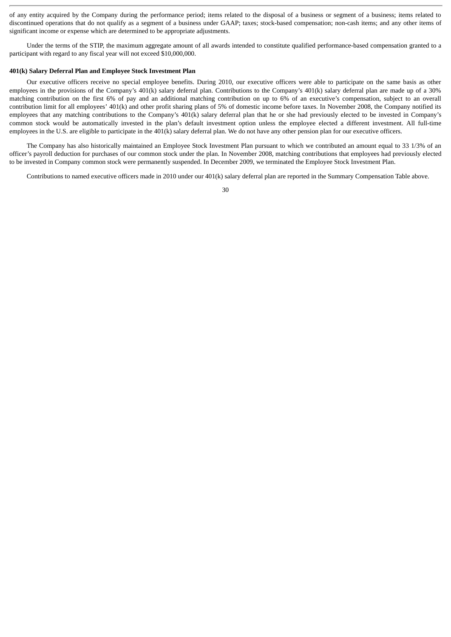of any entity acquired by the Company during the performance period; items related to the disposal of a business or segment of a business; items related to discontinued operations that do not qualify as a segment of a business under GAAP; taxes; stock-based compensation; non-cash items; and any other items of significant income or expense which are determined to be appropriate adjustments.

Under the terms of the STIP, the maximum aggregate amount of all awards intended to constitute qualified performance-based compensation granted to a participant with regard to any fiscal year will not exceed \$10,000,000.

#### **401(k) Salary Deferral Plan and Employee Stock Investment Plan**

Our executive officers receive no special employee benefits. During 2010, our executive officers were able to participate on the same basis as other employees in the provisions of the Company's 401(k) salary deferral plan. Contributions to the Company's 401(k) salary deferral plan are made up of a 30% matching contribution on the first 6% of pay and an additional matching contribution on up to 6% of an executive's compensation, subject to an overall contribution limit for all employees' 401(k) and other profit sharing plans of 5% of domestic income before taxes. In November 2008, the Company notified its employees that any matching contributions to the Company's 401(k) salary deferral plan that he or she had previously elected to be invested in Company's common stock would be automatically invested in the plan's default investment option unless the employee elected a different investment. All full-time employees in the U.S. are eligible to participate in the 401(k) salary deferral plan. We do not have any other pension plan for our executive officers.

The Company has also historically maintained an Employee Stock Investment Plan pursuant to which we contributed an amount equal to 33 1/3% of an officer's payroll deduction for purchases of our common stock under the plan. In November 2008, matching contributions that employees had previously elected to be invested in Company common stock were permanently suspended. In December 2009, we terminated the Employee Stock Investment Plan.

Contributions to named executive officers made in 2010 under our 401(k) salary deferral plan are reported in the Summary Compensation Table above.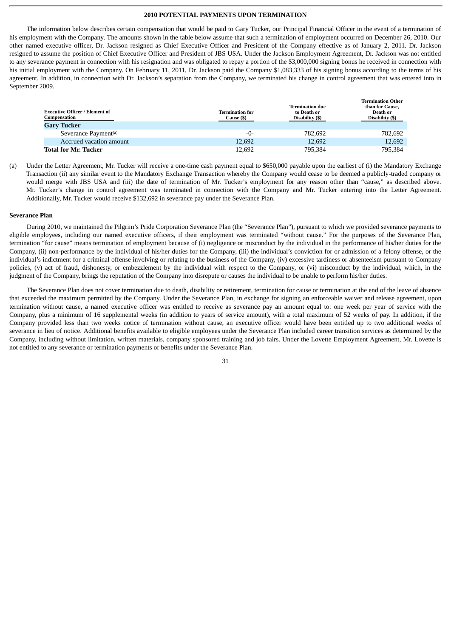## **2010 POTENTIAL PAYMENTS UPON TERMINATION**

The information below describes certain compensation that would be paid to Gary Tucker, our Principal Financial Officer in the event of a termination of his employment with the Company. The amounts shown in the table below assume that such a termination of employment occurred on December 26, 2010. Our other named executive officer, Dr. Jackson resigned as Chief Executive Officer and President of the Company effective as of January 2, 2011. Dr. Jackson resigned to assume the position of Chief Executive Officer and President of JBS USA. Under the Jackson Employment Agreement, Dr. Jackson was not entitled to any severance payment in connection with his resignation and was obligated to repay a portion of the \$3,000,000 signing bonus he received in connection with his initial employment with the Company. On February 11, 2011, Dr. Jackson paid the Company \$1,083,333 of his signing bonus according to the terms of his agreement. In addition, in connection with Dr. Jackson's separation from the Company, we terminated his change in control agreement that was entered into in September 2009.

| <b>Executive Officer / Element of</b><br>Compensation<br><b>Gary Tucker</b> | <b>Termination for</b><br>Cause (\$) | <b>Termination due</b><br>to Death or<br>Disability (\$) | <b>Termination Other</b><br>than for Cause.<br>Death or<br>Disability (\$) |
|-----------------------------------------------------------------------------|--------------------------------------|----------------------------------------------------------|----------------------------------------------------------------------------|
|                                                                             |                                      |                                                          |                                                                            |
| Severance Payment <sup>(a)</sup>                                            | -0-                                  | 782.692                                                  | 782.692                                                                    |
| Accrued vacation amount                                                     | 12,692                               | 12,692                                                   | 12,692                                                                     |
| <b>Total for Mr. Tucker</b>                                                 | 12,692                               | 795,384                                                  | 795.384                                                                    |

(a) Under the Letter Agreement, Mr. Tucker will receive a one-time cash payment equal to \$650,000 payable upon the earliest of (i) the Mandatory Exchange Transaction (ii) any similar event to the Mandatory Exchange Transaction whereby the Company would cease to be deemed a publicly-traded company or would merge with JBS USA and (iii) the date of termination of Mr. Tucker's employment for any reason other than "cause," as described above. Mr. Tucker's change in control agreement was terminated in connection with the Company and Mr. Tucker entering into the Letter Agreement. Additionally, Mr. Tucker would receive \$132,692 in severance pay under the Severance Plan.

#### **Severance Plan**

During 2010, we maintained the Pilgrim's Pride Corporation Severance Plan (the "Severance Plan"), pursuant to which we provided severance payments to eligible employees, including our named executive officers, if their employment was terminated "without cause." For the purposes of the Severance Plan, termination "for cause" means termination of employment because of (i) negligence or misconduct by the individual in the performance of his/her duties for the Company, (ii) non-performance by the individual of his/her duties for the Company, (iii) the individual's conviction for or admission of a felony offense, or the individual's indictment for a criminal offense involving or relating to the business of the Company, (iv) excessive tardiness or absenteeism pursuant to Company policies, (v) act of fraud, dishonesty, or embezzlement by the individual with respect to the Company, or (vi) misconduct by the individual, which, in the judgment of the Company, brings the reputation of the Company into disrepute or causes the individual to be unable to perform his/her duties.

The Severance Plan does not cover termination due to death, disability or retirement, termination for cause or termination at the end of the leave of absence that exceeded the maximum permitted by the Company. Under the Severance Plan, in exchange for signing an enforceable waiver and release agreement, upon termination without cause, a named executive officer was entitled to receive as severance pay an amount equal to: one week per year of service with the Company, plus a minimum of 16 supplemental weeks (in addition to years of service amount), with a total maximum of 52 weeks of pay. In addition, if the Company provided less than two weeks notice of termination without cause, an executive officer would have been entitled up to two additional weeks of severance in lieu of notice. Additional benefits available to eligible employees under the Severance Plan included career transition services as determined by the Company, including without limitation, written materials, company sponsored training and job fairs. Under the Lovette Employment Agreement, Mr. Lovette is not entitled to any severance or termination payments or benefits under the Severance Plan.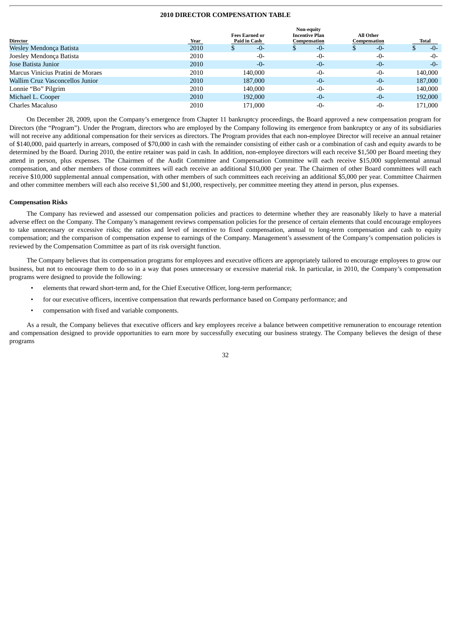## **2010 DIRECTOR COMPENSATION TABLE**

**Non-equity**

|                                   |      | <b>Fees Earned or</b> | <br><b>Incentive Plan</b> | <b>All Other</b> |         |
|-----------------------------------|------|-----------------------|---------------------------|------------------|---------|
| Director                          | Year | Paid in Cash          | Compensation              | Compensation     | Total   |
| Wesley Mendonça Batista           | 2010 | -0-                   | -0-                       | -0-              | $-0-$   |
| Joesley Mendonca Batista          | 2010 | $-0-$                 | $-0-$                     | $-0-$            | $-0-$   |
| Jose Batista Junior               | 2010 | $-0-$                 | $-0-$                     | $-0-$            | $-0-$   |
| Marcus Vinicius Pratini de Moraes | 2010 | 140,000               | $-0-$                     | $-0-$            | 140,000 |
| Wallim Cruz Vasconcellos Junior   | 2010 | 187,000               | $-0-$                     | $-0-$            | 187,000 |
| Lonnie "Bo" Pilgrim               | 2010 | 140,000               | $-0-$                     | $-0-$            | 140,000 |
| Michael L. Cooper                 | 2010 | 192,000               | $-0-$                     | $-0-$            | 192,000 |
| Charles Macaluso                  | 2010 | 171.000               | $-0-$                     | $-0-$            | 171,000 |

On December 28, 2009, upon the Company's emergence from Chapter 11 bankruptcy proceedings, the Board approved a new compensation program for Directors (the "Program"). Under the Program, directors who are employed by the Company following its emergence from bankruptcy or any of its subsidiaries will not receive any additional compensation for their services as directors. The Program provides that each non-employee Director will receive an annual retainer of \$140,000, paid quarterly in arrears, composed of \$70,000 in cash with the remainder consisting of either cash or a combination of cash and equity awards to be determined by the Board. During 2010, the entire retainer was paid in cash. In addition, non-employee directors will each receive \$1,500 per Board meeting they attend in person, plus expenses. The Chairmen of the Audit Committee and Compensation Committee will each receive \$15,000 supplemental annual compensation, and other members of those committees will each receive an additional \$10,000 per year. The Chairmen of other Board committees will each receive \$10,000 supplemental annual compensation, with other members of such committees each receiving an additional \$5,000 per year. Committee Chairmen and other committee members will each also receive \$1,500 and \$1,000, respectively, per committee meeting they attend in person, plus expenses.

#### **Compensation Risks**

The Company has reviewed and assessed our compensation policies and practices to determine whether they are reasonably likely to have a material adverse effect on the Company. The Company's management reviews compensation policies for the presence of certain elements that could encourage employees to take unnecessary or excessive risks; the ratios and level of incentive to fixed compensation, annual to long-term compensation and cash to equity compensation; and the comparison of compensation expense to earnings of the Company. Management's assessment of the Company's compensation policies is reviewed by the Compensation Committee as part of its risk oversight function.

The Company believes that its compensation programs for employees and executive officers are appropriately tailored to encourage employees to grow our business, but not to encourage them to do so in a way that poses unnecessary or excessive material risk. In particular, in 2010, the Company's compensation programs were designed to provide the following:

- elements that reward short-term and, for the Chief Executive Officer, long-term performance;
- for our executive officers, incentive compensation that rewards performance based on Company performance; and
- compensation with fixed and variable components.

As a result, the Company believes that executive officers and key employees receive a balance between competitive remuneration to encourage retention and compensation designed to provide opportunities to earn more by successfully executing our business strategy. The Company believes the design of these programs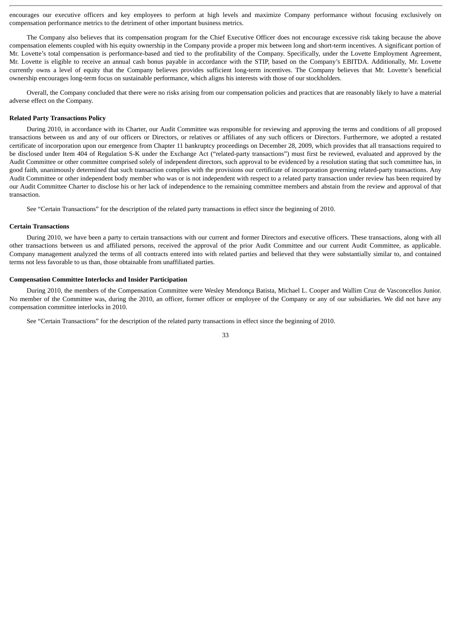encourages our executive officers and key employees to perform at high levels and maximize Company performance without focusing exclusively on compensation performance metrics to the detriment of other important business metrics.

The Company also believes that its compensation program for the Chief Executive Officer does not encourage excessive risk taking because the above compensation elements coupled with his equity ownership in the Company provide a proper mix between long and short-term incentives. A significant portion of Mr. Lovette's total compensation is performance-based and tied to the profitability of the Company. Specifically, under the Lovette Employment Agreement, Mr. Lovette is eligible to receive an annual cash bonus payable in accordance with the STIP, based on the Company's EBITDA. Additionally, Mr. Lovette currently owns a level of equity that the Company believes provides sufficient long-term incentives. The Company believes that Mr. Lovette's beneficial ownership encourages long-term focus on sustainable performance, which aligns his interests with those of our stockholders.

Overall, the Company concluded that there were no risks arising from our compensation policies and practices that are reasonably likely to have a material adverse effect on the Company.

#### **Related Party Transactions Policy**

During 2010, in accordance with its Charter, our Audit Committee was responsible for reviewing and approving the terms and conditions of all proposed transactions between us and any of our officers or Directors, or relatives or affiliates of any such officers or Directors. Furthermore, we adopted a restated certificate of incorporation upon our emergence from Chapter 11 bankruptcy proceedings on December 28, 2009, which provides that all transactions required to be disclosed under Item 404 of Regulation S-K under the Exchange Act ("related-party transactions") must first be reviewed, evaluated and approved by the Audit Committee or other committee comprised solely of independent directors, such approval to be evidenced by a resolution stating that such committee has, in good faith, unanimously determined that such transaction complies with the provisions our certificate of incorporation governing related-party transactions. Any Audit Committee or other independent body member who was or is not independent with respect to a related party transaction under review has been required by our Audit Committee Charter to disclose his or her lack of independence to the remaining committee members and abstain from the review and approval of that transaction.

See "Certain Transactions" for the description of the related party transactions in effect since the beginning of 2010.

#### **Certain Transactions**

During 2010, we have been a party to certain transactions with our current and former Directors and executive officers. These transactions, along with all other transactions between us and affiliated persons, received the approval of the prior Audit Committee and our current Audit Committee, as applicable. Company management analyzed the terms of all contracts entered into with related parties and believed that they were substantially similar to, and contained terms not less favorable to us than, those obtainable from unaffiliated parties.

## **Compensation Committee Interlocks and Insider Participation**

During 2010, the members of the Compensation Committee were Wesley Mendonça Batista, Michael L. Cooper and Wallim Cruz de Vasconcellos Junior. No member of the Committee was, during the 2010, an officer, former officer or employee of the Company or any of our subsidiaries. We did not have any compensation committee interlocks in 2010.

See "Certain Transactions" for the description of the related party transactions in effect since the beginning of 2010.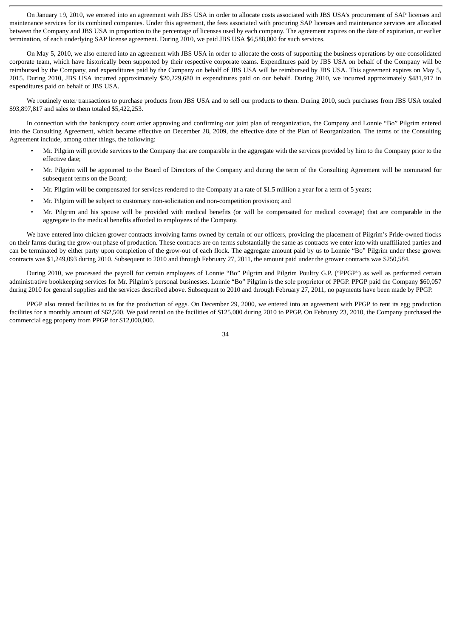On January 19, 2010, we entered into an agreement with JBS USA in order to allocate costs associated with JBS USA's procurement of SAP licenses and maintenance services for its combined companies. Under this agreement, the fees associated with procuring SAP licenses and maintenance services are allocated between the Company and JBS USA in proportion to the percentage of licenses used by each company. The agreement expires on the date of expiration, or earlier termination, of each underlying SAP license agreement. During 2010, we paid JBS USA \$6,588,000 for such services.

On May 5, 2010, we also entered into an agreement with JBS USA in order to allocate the costs of supporting the business operations by one consolidated corporate team, which have historically been supported by their respective corporate teams. Expenditures paid by JBS USA on behalf of the Company will be reimbursed by the Company, and expenditures paid by the Company on behalf of JBS USA will be reimbursed by JBS USA. This agreement expires on May 5, 2015. During 2010, JBS USA incurred approximately \$20,229,680 in expenditures paid on our behalf. During 2010, we incurred approximately \$481,917 in expenditures paid on behalf of JBS USA.

We routinely enter transactions to purchase products from JBS USA and to sell our products to them. During 2010, such purchases from JBS USA totaled \$93,897,817 and sales to them totaled \$5,422,253.

In connection with the bankruptcy court order approving and confirming our joint plan of reorganization, the Company and Lonnie "Bo" Pilgrim entered into the Consulting Agreement, which became effective on December 28, 2009, the effective date of the Plan of Reorganization. The terms of the Consulting Agreement include, among other things, the following:

- Mr. Pilgrim will provide services to the Company that are comparable in the aggregate with the services provided by him to the Company prior to the effective date;
- Mr. Pilgrim will be appointed to the Board of Directors of the Company and during the term of the Consulting Agreement will be nominated for subsequent terms on the Board;
- Mr. Pilgrim will be compensated for services rendered to the Company at a rate of \$1.5 million a year for a term of 5 years;
- Mr. Pilgrim will be subject to customary non-solicitation and non-competition provision; and
- Mr. Pilgrim and his spouse will be provided with medical benefits (or will be compensated for medical coverage) that are comparable in the aggregate to the medical benefits afforded to employees of the Company.

We have entered into chicken grower contracts involving farms owned by certain of our officers, providing the placement of Pilgrim's Pride-owned flocks on their farms during the grow-out phase of production. These contracts are on terms substantially the same as contracts we enter into with unaffiliated parties and can be terminated by either party upon completion of the grow-out of each flock. The aggregate amount paid by us to Lonnie "Bo" Pilgrim under these grower contracts was \$1,249,093 during 2010. Subsequent to 2010 and through February 27, 2011, the amount paid under the grower contracts was \$250,584.

During 2010, we processed the payroll for certain employees of Lonnie "Bo" Pilgrim and Pilgrim Poultry G.P. ("PPGP") as well as performed certain administrative bookkeeping services for Mr. Pilgrim's personal businesses. Lonnie "Bo" Pilgrim is the sole proprietor of PPGP. PPGP paid the Company \$60,057 during 2010 for general supplies and the services described above. Subsequent to 2010 and through February 27, 2011, no payments have been made by PPGP.

PPGP also rented facilities to us for the production of eggs. On December 29, 2000, we entered into an agreement with PPGP to rent its egg production facilities for a monthly amount of \$62,500. We paid rental on the facilities of \$125,000 during 2010 to PPGP. On February 23, 2010, the Company purchased the commercial egg property from PPGP for \$12,000,000.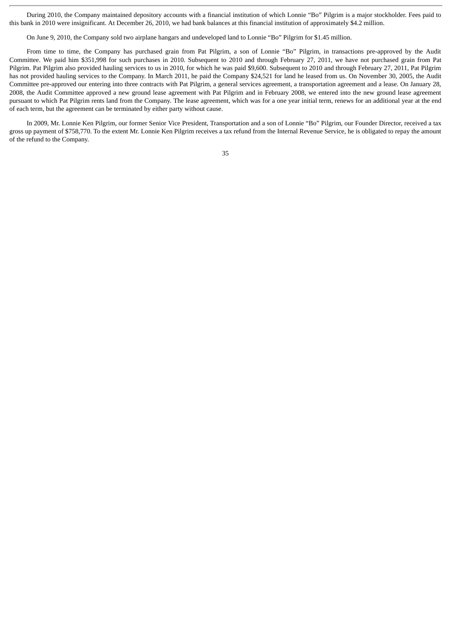During 2010, the Company maintained depository accounts with a financial institution of which Lonnie "Bo" Pilgrim is a major stockholder. Fees paid to this bank in 2010 were insignificant. At December 26, 2010, we had bank balances at this financial institution of approximately \$4.2 million.

On June 9, 2010, the Company sold two airplane hangars and undeveloped land to Lonnie "Bo" Pilgrim for \$1.45 million.

From time to time, the Company has purchased grain from Pat Pilgrim, a son of Lonnie "Bo" Pilgrim, in transactions pre-approved by the Audit Committee. We paid him \$351,998 for such purchases in 2010. Subsequent to 2010 and through February 27, 2011, we have not purchased grain from Pat Pilgrim. Pat Pilgrim also provided hauling services to us in 2010, for which he was paid \$9,600. Subsequent to 2010 and through February 27, 2011, Pat Pilgrim has not provided hauling services to the Company. In March 2011, he paid the Company \$24,521 for land he leased from us. On November 30, 2005, the Audit Committee pre-approved our entering into three contracts with Pat Pilgrim, a general services agreement, a transportation agreement and a lease. On January 28, 2008, the Audit Committee approved a new ground lease agreement with Pat Pilgrim and in February 2008, we entered into the new ground lease agreement pursuant to which Pat Pilgrim rents land from the Company. The lease agreement, which was for a one year initial term, renews for an additional year at the end of each term, but the agreement can be terminated by either party without cause.

In 2009, Mr. Lonnie Ken Pilgrim, our former Senior Vice President, Transportation and a son of Lonnie "Bo" Pilgrim, our Founder Director, received a tax gross up payment of \$758,770. To the extent Mr. Lonnie Ken Pilgrim receives a tax refund from the Internal Revenue Service, he is obligated to repay the amount of the refund to the Company.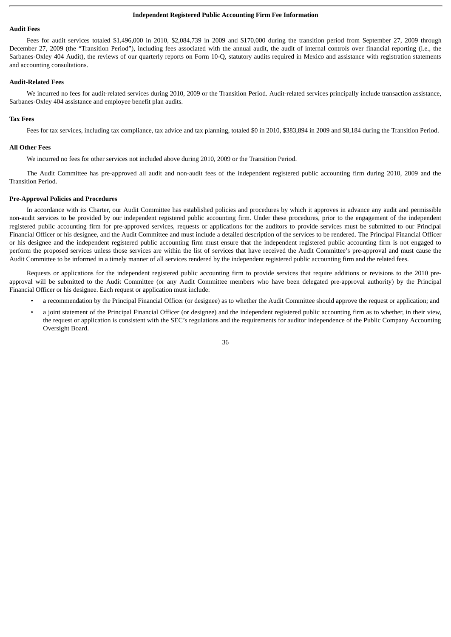#### **Independent Registered Public Accounting Firm Fee Information**

#### **Audit Fees**

Fees for audit services totaled \$1,496,000 in 2010, \$2,084,739 in 2009 and \$170,000 during the transition period from September 27, 2009 through December 27, 2009 (the "Transition Period"), including fees associated with the annual audit, the audit of internal controls over financial reporting (i.e., the Sarbanes-Oxley 404 Audit), the reviews of our quarterly reports on Form 10-Q, statutory audits required in Mexico and assistance with registration statements and accounting consultations.

#### **Audit-Related Fees**

We incurred no fees for audit-related services during 2010, 2009 or the Transition Period. Audit-related services principally include transaction assistance, Sarbanes-Oxley 404 assistance and employee benefit plan audits.

## **Tax Fees**

Fees for tax services, including tax compliance, tax advice and tax planning, totaled \$0 in 2010, \$383,894 in 2009 and \$8,184 during the Transition Period.

## **All Other Fees**

We incurred no fees for other services not included above during 2010, 2009 or the Transition Period.

The Audit Committee has pre-approved all audit and non-audit fees of the independent registered public accounting firm during 2010, 2009 and the Transition Period.

#### **Pre-Approval Policies and Procedures**

In accordance with its Charter, our Audit Committee has established policies and procedures by which it approves in advance any audit and permissible non-audit services to be provided by our independent registered public accounting firm. Under these procedures, prior to the engagement of the independent registered public accounting firm for pre-approved services, requests or applications for the auditors to provide services must be submitted to our Principal Financial Officer or his designee, and the Audit Committee and must include a detailed description of the services to be rendered. The Principal Financial Officer or his designee and the independent registered public accounting firm must ensure that the independent registered public accounting firm is not engaged to perform the proposed services unless those services are within the list of services that have received the Audit Committee's pre-approval and must cause the Audit Committee to be informed in a timely manner of all services rendered by the independent registered public accounting firm and the related fees.

Requests or applications for the independent registered public accounting firm to provide services that require additions or revisions to the 2010 preapproval will be submitted to the Audit Committee (or any Audit Committee members who have been delegated pre-approval authority) by the Principal Financial Officer or his designee. Each request or application must include:

- a recommendation by the Principal Financial Officer (or designee) as to whether the Audit Committee should approve the request or application; and
- a joint statement of the Principal Financial Officer (or designee) and the independent registered public accounting firm as to whether, in their view, the request or application is consistent with the SEC's regulations and the requirements for auditor independence of the Public Company Accounting Oversight Board.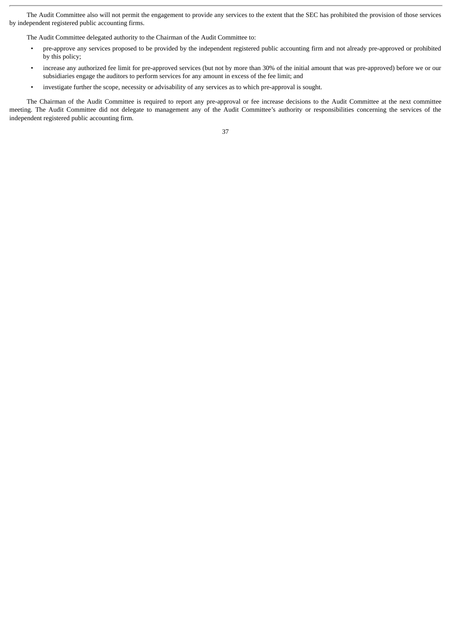The Audit Committee also will not permit the engagement to provide any services to the extent that the SEC has prohibited the provision of those services by independent registered public accounting firms.

The Audit Committee delegated authority to the Chairman of the Audit Committee to:

- pre-approve any services proposed to be provided by the independent registered public accounting firm and not already pre-approved or prohibited by this policy;
- increase any authorized fee limit for pre-approved services (but not by more than 30% of the initial amount that was pre-approved) before we or our subsidiaries engage the auditors to perform services for any amount in excess of the fee limit; and
- investigate further the scope, necessity or advisability of any services as to which pre-approval is sought.

The Chairman of the Audit Committee is required to report any pre-approval or fee increase decisions to the Audit Committee at the next committee meeting. The Audit Committee did not delegate to management any of the Audit Committee's authority or responsibilities concerning the services of the independent registered public accounting firm.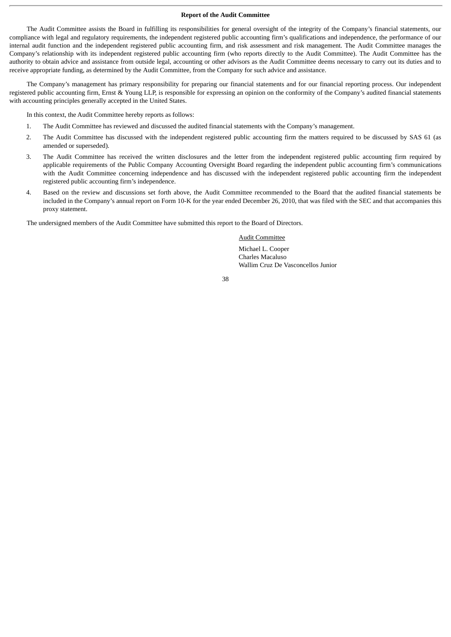#### **Report of the Audit Committee**

The Audit Committee assists the Board in fulfilling its responsibilities for general oversight of the integrity of the Company's financial statements, our compliance with legal and regulatory requirements, the independent registered public accounting firm's qualifications and independence, the performance of our internal audit function and the independent registered public accounting firm, and risk assessment and risk management. The Audit Committee manages the Company's relationship with its independent registered public accounting firm (who reports directly to the Audit Committee). The Audit Committee has the authority to obtain advice and assistance from outside legal, accounting or other advisors as the Audit Committee deems necessary to carry out its duties and to receive appropriate funding, as determined by the Audit Committee, from the Company for such advice and assistance.

The Company's management has primary responsibility for preparing our financial statements and for our financial reporting process. Our independent registered public accounting firm, Ernst & Young LLP, is responsible for expressing an opinion on the conformity of the Company's audited financial statements with accounting principles generally accepted in the United States.

In this context, the Audit Committee hereby reports as follows:

- 1. The Audit Committee has reviewed and discussed the audited financial statements with the Company's management.
- 2. The Audit Committee has discussed with the independent registered public accounting firm the matters required to be discussed by SAS 61 (as amended or superseded).
- 3. The Audit Committee has received the written disclosures and the letter from the independent registered public accounting firm required by applicable requirements of the Public Company Accounting Oversight Board regarding the independent public accounting firm's communications with the Audit Committee concerning independence and has discussed with the independent registered public accounting firm the independent registered public accounting firm's independence.
- 4. Based on the review and discussions set forth above, the Audit Committee recommended to the Board that the audited financial statements be included in the Company's annual report on Form 10-K for the year ended December 26, 2010, that was filed with the SEC and that accompanies this proxy statement.

The undersigned members of the Audit Committee have submitted this report to the Board of Directors.

## Audit Committee

Michael L. Cooper Charles Macaluso Wallim Cruz De Vasconcellos Junior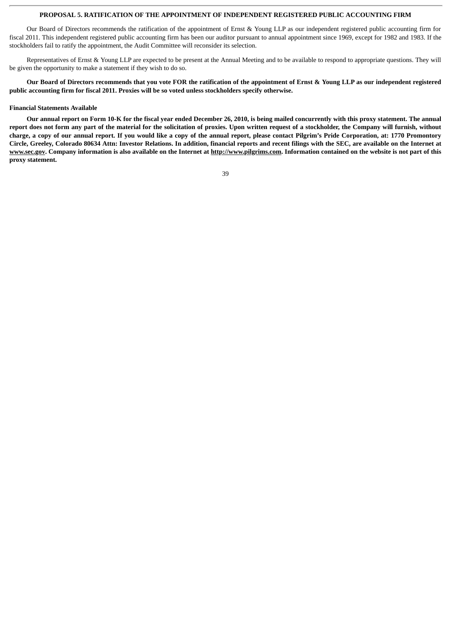## **PROPOSAL 5. RATIFICATION OF THE APPOINTMENT OF INDEPENDENT REGISTERED PUBLIC ACCOUNTING FIRM**

Our Board of Directors recommends the ratification of the appointment of Ernst & Young LLP as our independent registered public accounting firm for fiscal 2011. This independent registered public accounting firm has been our auditor pursuant to annual appointment since 1969, except for 1982 and 1983. If the stockholders fail to ratify the appointment, the Audit Committee will reconsider its selection.

Representatives of Ernst & Young LLP are expected to be present at the Annual Meeting and to be available to respond to appropriate questions. They will be given the opportunity to make a statement if they wish to do so.

**Our Board of Directors recommends that you vote FOR the ratification of the appointment of Ernst & Young LLP as our independent registered public accounting firm for fiscal 2011. Proxies will be so voted unless stockholders specify otherwise.**

#### **Financial Statements Available**

**Our annual report on Form 10-K for the fiscal year ended December 26, 2010, is being mailed concurrently with this proxy statement. The annual report does not form any part of the material for the solicitation of proxies. Upon written request of a stockholder, the Company will furnish, without charge, a copy of our annual report. If you would like a copy of the annual report, please contact Pilgrim's Pride Corporation, at: 1770 Promontory Circle, Greeley, Colorado 80634 Attn: Investor Relations. In addition, financial reports and recent filings with the SEC, are available on the Internet at www.sec.gov. Company information is also available on the Internet at http://www.pilgrims.com. Information contained on the website is not part of this proxy statement.**

| e v          |                   |
|--------------|-------------------|
|              |                   |
| ۰.<br>×<br>v | i<br>٦<br>×<br>۰, |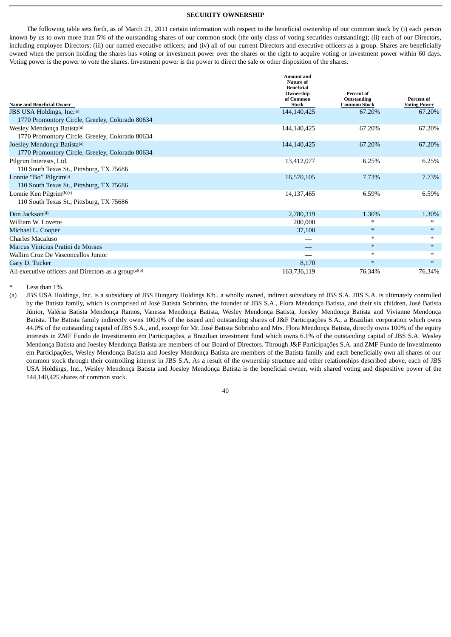## **SECURITY OWNERSHIP**

The following table sets forth, as of March 21, 2011 certain information with respect to the beneficial ownership of our common stock by (i) each person known by us to own more than 5% of the outstanding shares of our common stock (the only class of voting securities outstanding); (ii) each of our Directors, including employee Directors; (iii) our named executive officers; and (iv) all of our current Directors and executive officers as a group. Shares are beneficially owned when the person holding the shares has voting or investment power over the shares or the right to acquire voting or investment power within 60 days. Voting power is the power to vote the shares. Investment power is the power to direct the sale or other disposition of the shares.

| <b>Name and Beneficial Owner</b>                                  | <b>Amount and</b><br><b>Nature of</b><br><b>Beneficial</b><br>Ownership<br>of Common<br><b>Stock</b> | <b>Percent of</b><br>Outstanding<br><b>Common Stock</b> | Percent of<br><b>Voting Power</b> |
|-------------------------------------------------------------------|------------------------------------------------------------------------------------------------------|---------------------------------------------------------|-----------------------------------|
| JBS USA Holdings, Inc.(a)                                         | 144,140,425                                                                                          | 67.20%                                                  | 67.20%                            |
| 1770 Promontory Circle, Greeley, Colorado 80634                   |                                                                                                      |                                                         |                                   |
| Wesley Mendonça Batista(a)                                        | 144,140,425                                                                                          | 67.20%                                                  | 67.20%                            |
| 1770 Promontory Circle, Greeley, Colorado 80634                   |                                                                                                      |                                                         |                                   |
| Joesley Mendonça Batista(a)                                       | 144,140,425                                                                                          | 67.20%                                                  | 67.20%                            |
| 1770 Promontory Circle, Greeley, Colorado 80634                   |                                                                                                      |                                                         |                                   |
| Pilgrim Interests, Ltd.                                           | 13,412,077                                                                                           | 6.25%                                                   | 6.25%                             |
| 110 South Texas St., Pittsburg, TX 75686                          |                                                                                                      |                                                         |                                   |
| Lonnie "Bo" Pilgrim <sup>(b)</sup>                                | 16,570,105                                                                                           | 7.73%                                                   | 7.73%                             |
| 110 South Texas St., Pittsburg, TX 75686                          |                                                                                                      |                                                         |                                   |
| Lonnie Ken Pilgrim <sup>(b)(c)</sup>                              | 14,137,465                                                                                           | 6.59%                                                   | 6.59%                             |
| 110 South Texas St., Pittsburg, TX 75686                          |                                                                                                      |                                                         |                                   |
| Don Jackson <sup>(d)</sup>                                        | 2,780,319                                                                                            | 1.30%                                                   | 1.30%                             |
| William W. Lovette                                                | 200,000                                                                                              | *                                                       | $\ast$                            |
| Michael L. Cooper                                                 | 37,100                                                                                               | $\ast$                                                  | $\ast$                            |
| Charles Macaluso                                                  |                                                                                                      | $\ast$                                                  | $*$                               |
| Marcus Vinicius Pratini de Moraes                                 |                                                                                                      | $\ast$                                                  | $*$                               |
| Wallim Cruz De Vasconcellos Junior                                |                                                                                                      | $*$                                                     | $*$                               |
| Gary D. Tucker                                                    | 8,170                                                                                                | $\ast$                                                  | $*$                               |
| All executive officers and Directors as a group <sup>(a)(b)</sup> | 163,736,119                                                                                          | 76.34%                                                  | 76.34%                            |

Less than 1%.

(a) JBS USA Holdings, Inc. is a subsidiary of JBS Hungary Holdings Kft., a wholly owned, indirect subsidiary of JBS S.A. JBS S.A. is ultimately controlled by the Batista family, which is comprised of José Batista Sobrinho, the founder of JBS S.A., Flora Mendonça Batista, and their six children, José Batista Júnior, Valéria Batista Mendonça Ramos, Vanessa Mendonça Batista, Wesley Mendonça Batista, Joesley Mendonça Batista and Vivianne Mendonça Batista. The Batista family indirectly owns 100.0% of the issued and outstanding shares of J&F Participações S.A., a Brazilian corporation which owns 44.0% of the outstanding capital of JBS S.A., and, except for Mr. José Batista Sobrinho and Mrs. Flora Mendonça Batista, directly owns 100% of the equity interests in ZMF Fundo de Investimento em Participações, a Brazilian investment fund which owns 6.1% of the outstanding capital of JBS S.A. Wesley Mendonça Batista and Joesley Mendonça Batista are members of our Board of Directors. Through J&F Participações S.A. and ZMF Fundo de Investimento em Participações, Wesley Mendonça Batista and Joesley Mendonça Batista are members of the Batista family and each beneficially own all shares of our common stock through their controlling interest in JBS S.A. As a result of the ownership structure and other relationships described above, each of JBS USA Holdings, Inc., Wesley Mendonça Batista and Joesley Mendonça Batista is the beneficial owner, with shared voting and dispositive power of the 144,140,425 shares of common stock.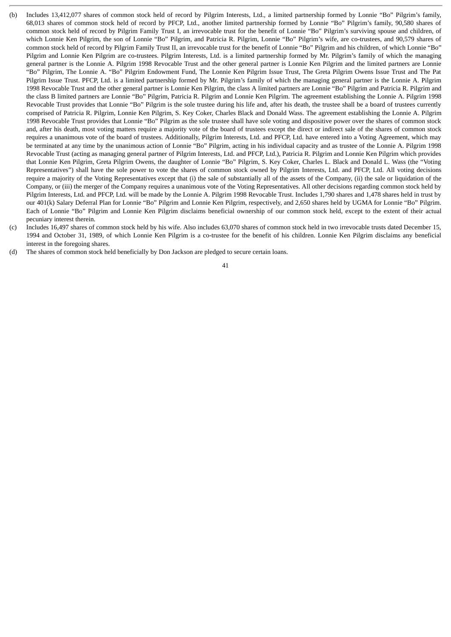- (b) Includes 13,412,077 shares of common stock held of record by Pilgrim Interests, Ltd., a limited partnership formed by Lonnie "Bo" Pilgrim's family, 68,013 shares of common stock held of record by PFCP, Ltd., another limited partnership formed by Lonnie "Bo" Pilgrim's family, 90,580 shares of common stock held of record by Pilgrim Family Trust I, an irrevocable trust for the benefit of Lonnie "Bo" Pilgrim's surviving spouse and children, of which Lonnie Ken Pilgrim, the son of Lonnie "Bo" Pilgrim, and Patricia R. Pilgrim, Lonnie "Bo" Pilgrim's wife, are co-trustees, and 90,579 shares of common stock held of record by Pilgrim Family Trust II, an irrevocable trust for the benefit of Lonnie "Bo" Pilgrim and his children, of which Lonnie "Bo" Pilgrim and Lonnie Ken Pilgrim are co-trustees. Pilgrim Interests, Ltd. is a limited partnership formed by Mr. Pilgrim's family of which the managing general partner is the Lonnie A. Pilgrim 1998 Revocable Trust and the other general partner is Lonnie Ken Pilgrim and the limited partners are Lonnie "Bo" Pilgrim, The Lonnie A. "Bo" Pilgrim Endowment Fund, The Lonnie Ken Pilgrim Issue Trust, The Greta Pilgrim Owens Issue Trust and The Pat Pilgrim Issue Trust. PFCP, Ltd. is a limited partnership formed by Mr. Pilgrim's family of which the managing general partner is the Lonnie A. Pilgrim 1998 Revocable Trust and the other general partner is Lonnie Ken Pilgrim, the class A limited partners are Lonnie "Bo" Pilgrim and Patricia R. Pilgrim and the class B limited partners are Lonnie "Bo" Pilgrim, Patricia R. Pilgrim and Lonnie Ken Pilgrim. The agreement establishing the Lonnie A. Pilgrim 1998 Revocable Trust provides that Lonnie "Bo" Pilgrim is the sole trustee during his life and, after his death, the trustee shall be a board of trustees currently comprised of Patricia R. Pilgrim, Lonnie Ken Pilgrim, S. Key Coker, Charles Black and Donald Wass. The agreement establishing the Lonnie A. Pilgrim 1998 Revocable Trust provides that Lonnie "Bo" Pilgrim as the sole trustee shall have sole voting and dispositive power over the shares of common stock and, after his death, most voting matters require a majority vote of the board of trustees except the direct or indirect sale of the shares of common stock requires a unanimous vote of the board of trustees. Additionally, Pilgrim Interests, Ltd. and PFCP, Ltd. have entered into a Voting Agreement, which may be terminated at any time by the unanimous action of Lonnie "Bo" Pilgrim, acting in his individual capacity and as trustee of the Lonnie A. Pilgrim 1998 Revocable Trust (acting as managing general partner of Pilgrim Interests, Ltd. and PFCP, Ltd.), Patricia R. Pilgrim and Lonnie Ken Pilgrim which provides that Lonnie Ken Pilgrim, Greta Pilgrim Owens, the daughter of Lonnie "Bo" Pilgrim, S. Key Coker, Charles L. Black and Donald L. Wass (the "Voting Representatives") shall have the sole power to vote the shares of common stock owned by Pilgrim Interests, Ltd. and PFCP, Ltd. All voting decisions require a majority of the Voting Representatives except that (i) the sale of substantially all of the assets of the Company, (ii) the sale or liquidation of the Company, or (iii) the merger of the Company requires a unanimous vote of the Voting Representatives. All other decisions regarding common stock held by Pilgrim Interests, Ltd. and PFCP, Ltd. will be made by the Lonnie A. Pilgrim 1998 Revocable Trust. Includes 1,790 shares and 1,478 shares held in trust by our 401(k) Salary Deferral Plan for Lonnie "Bo" Pilgrim and Lonnie Ken Pilgrim, respectively, and 2,650 shares held by UGMA for Lonnie "Bo" Pilgrim. Each of Lonnie "Bo" Pilgrim and Lonnie Ken Pilgrim disclaims beneficial ownership of our common stock held, except to the extent of their actual pecuniary interest therein.
- (c) Includes 16,497 shares of common stock held by his wife. Also includes 63,070 shares of common stock held in two irrevocable trusts dated December 15, 1994 and October 31, 1989, of which Lonnie Ken Pilgrim is a co-trustee for the benefit of his children. Lonnie Ken Pilgrim disclaims any beneficial interest in the foregoing shares.
- (d) The shares of common stock held beneficially by Don Jackson are pledged to secure certain loans.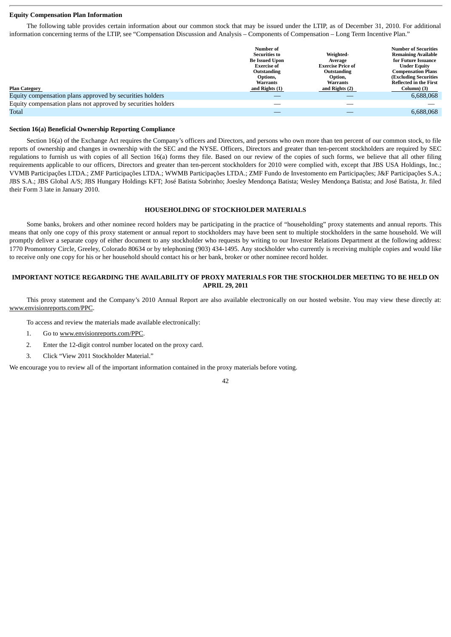## **Equity Compensation Plan Information**

The following table provides certain information about our common stock that may be issued under the LTIP, as of December 31, 2010. For additional information concerning terms of the LTIP, see "Compensation Discussion and Analysis – Components of Compensation – Long Term Incentive Plan."

| <b>Plan Category</b><br>Equity compensation plans approved by securities holders | Number of<br><b>Securities to</b><br><b>Be Issued Upon</b><br><b>Exercise of</b><br>Outstanding<br>Options,<br><b>Warrants</b><br>and Rights (1) | Weighted-<br>Average<br><b>Exercise Price of</b><br>Outstanding<br>Option,<br><b>Warrants</b><br>and Rights (2) | <b>Number of Securities</b><br><b>Remaining Available</b><br>for Future Issuance<br><b>Under Equity</b><br><b>Compensation Plans</b><br><b>(Excluding Securities</b><br><b>Reflected in the First</b><br>Column) (3)<br>6,688,068 |
|----------------------------------------------------------------------------------|--------------------------------------------------------------------------------------------------------------------------------------------------|-----------------------------------------------------------------------------------------------------------------|-----------------------------------------------------------------------------------------------------------------------------------------------------------------------------------------------------------------------------------|
| Equity compensation plans not approved by securities holders                     |                                                                                                                                                  |                                                                                                                 |                                                                                                                                                                                                                                   |
| <b>Total</b>                                                                     |                                                                                                                                                  |                                                                                                                 | 6.688.068                                                                                                                                                                                                                         |

## **Section 16(a) Beneficial Ownership Reporting Compliance**

Section 16(a) of the Exchange Act requires the Company's officers and Directors, and persons who own more than ten percent of our common stock, to file reports of ownership and changes in ownership with the SEC and the NYSE. Officers, Directors and greater than ten-percent stockholders are required by SEC regulations to furnish us with copies of all Section 16(a) forms they file. Based on our review of the copies of such forms, we believe that all other filing requirements applicable to our officers, Directors and greater than ten-percent stockholders for 2010 were complied with, except that JBS USA Holdings, Inc.; VVMB Participações LTDA.; ZMF Participações LTDA.; WWMB Participações LTDA.; ZMF Fundo de Investomento em Participações; J&F Participações S.A.; JBS S.A.; JBS Global A/S; JBS Hungary Holdings KFT; José Batista Sobrinho; Joesley Mendonça Batista; Wesley Mendonça Batista; and José Batista, Jr. filed their Form 3 late in January 2010.

## **HOUSEHOLDING OF STOCKHOLDER MATERIALS**

Some banks, brokers and other nominee record holders may be participating in the practice of "householding" proxy statements and annual reports. This means that only one copy of this proxy statement or annual report to stockholders may have been sent to multiple stockholders in the same household. We will promptly deliver a separate copy of either document to any stockholder who requests by writing to our Investor Relations Department at the following address: 1770 Promontory Circle, Greeley, Colorado 80634 or by telephoning (903) 434-1495. Any stockholder who currently is receiving multiple copies and would like to receive only one copy for his or her household should contact his or her bank, broker or other nominee record holder.

## **IMPORTANT NOTICE REGARDING THE AVAILABILITY OF PROXY MATERIALS FOR THE STOCKHOLDER MEETING TO BE HELD ON APRIL 29, 2011**

This proxy statement and the Company's 2010 Annual Report are also available electronically on our hosted website. You may view these directly at: www.envisionreports.com/PPC.

To access and review the materials made available electronically:

- 1. Go to www.envisionreports.com/PPC.
- 2. Enter the 12-digit control number located on the proxy card.
- 3. Click "View 2011 Stockholder Material."

We encourage you to review all of the important information contained in the proxy materials before voting.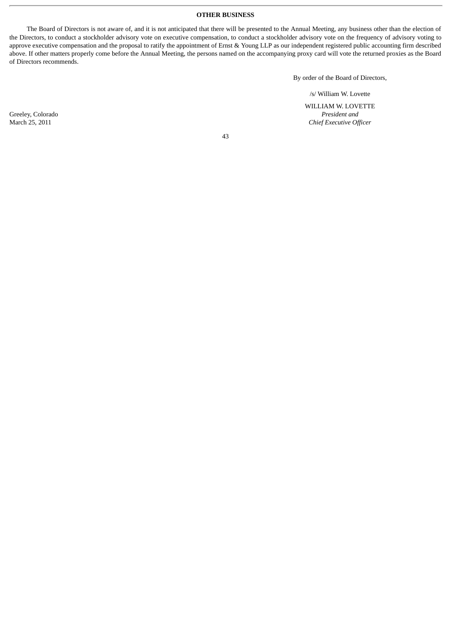## **OTHER BUSINESS**

The Board of Directors is not aware of, and it is not anticipated that there will be presented to the Annual Meeting, any business other than the election of the Directors, to conduct a stockholder advisory vote on executive compensation, to conduct a stockholder advisory vote on the frequency of advisory voting to approve executive compensation and the proposal to ratify the appointment of Ernst & Young LLP as our independent registered public accounting firm described above. If other matters properly come before the Annual Meeting, the persons named on the accompanying proxy card will vote the returned proxies as the Board of Directors recommends.

By order of the Board of Directors,

/s/ William W. Lovette

 WILLIAM W. LOVETTE Greeley, Colorado *President and President and President and President and President and President and Chief Executive Of* **Chief Executive Officer**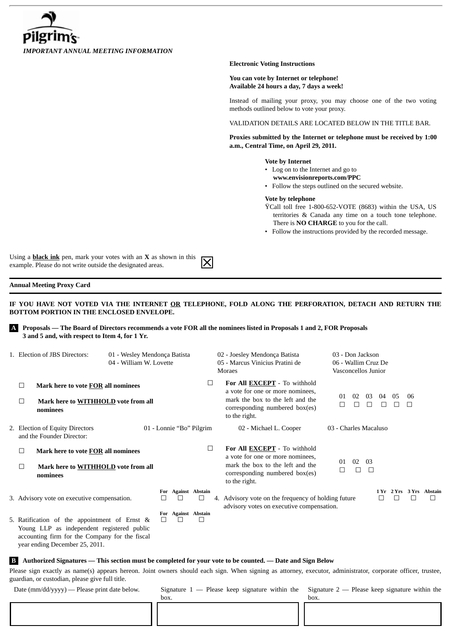

## **Electronic Voting Instructions**

**You can vote by Internet or telephone! Available 24 hours a day, 7 days a week!**

Instead of mailing your proxy, you may choose one of the two voting methods outlined below to vote your proxy.

VALIDATION DETAILS ARE LOCATED BELOW IN THE TITLE BAR.

**Proxies submitted by the Internet or telephone must be received by 1:00 a.m., Central Time, on April 29, 2011.**

## **Vote by Internet**

- Log on to the Internet and go to
- **www.envisionreports.com/PPC**
- Follow the steps outlined on the secured website.

## **Vote by telephone**

- ŸCall toll free 1-800-652-VOTE (8683) within the USA, US territories & Canada any time on a touch tone telephone. There is **NO CHARGE** to you for the call.
- Follow the instructions provided by the recorded message.

Using a **black ink** pen, mark your votes with an **X** as shown in this example. Please do not write outside the designated areas.

## **Annual Meeting Proxy Card**

**IF YOU HAVE NOT VOTED VIA THE INTERNET OR TELEPHONE, FOLD ALONG THE PERFORATION, DETACH AND RETURN THE BOTTOM PORTION IN THE ENCLOSED ENVELOPE.**

**A Proposals — The Board of Directors recommends a vote FOR all the nominees listed in Proposals 1 and 2, FOR Proposals 3 and 5 and, with respect to Item 4, for 1 Yr.**

| 1. Election of JBS Directors: |                  |                                                                                                                                                                                 | 01 - Wesley Mendonça Batista<br>04 - William W. Lovette |                          |   | 02 - Joesley Mendonça Batista<br>05 - Marcus Vinicius Pratini de<br>Moraes |  |                                                                                                                                                                | 03 - Don Jackson<br>06 - Wallim Cruz De<br>Vasconcellos Junior |         |              |                       |    |        |    |                          |
|-------------------------------|------------------|---------------------------------------------------------------------------------------------------------------------------------------------------------------------------------|---------------------------------------------------------|--------------------------|---|----------------------------------------------------------------------------|--|----------------------------------------------------------------------------------------------------------------------------------------------------------------|----------------------------------------------------------------|---------|--------------|-----------------------|----|--------|----|--------------------------|
|                               | $\Box$<br>$\Box$ | Mark here to vote FOR all nominees<br>Mark here to WITHHOLD vote from all<br>nominees                                                                                           |                                                         |                          |   | □                                                                          |  | For All EXCEPT - To withhold<br>a vote for one or more nominees,<br>mark the box to the left and the<br>corresponding numbered box(es)<br>to the right.        |                                                                | 01<br>П | 02           | 03<br>П               | 04 | 05     | 06 |                          |
|                               |                  | 2. Election of Equity Directors<br>and the Founder Director:                                                                                                                    |                                                         | 01 - Lonnie "Bo" Pilgrim |   |                                                                            |  | 02 - Michael L. Cooper                                                                                                                                         |                                                                |         |              | 03 - Charles Macaluso |    |        |    |                          |
|                               | $\Box$<br>□      | Mark here to vote FOR all nominees<br>Mark here to WITHHOLD vote from all<br>nominees                                                                                           |                                                         |                          |   | $\Box$                                                                     |  | For All <b>EXCEPT</b> - To withhold<br>a vote for one or more nominees,<br>mark the box to the left and the<br>corresponding numbered box(es)<br>to the right. |                                                                | 01<br>п | 02<br>$\Box$ | -03<br>$\Box$         |    |        |    |                          |
|                               |                  | 3. Advisory vote on executive compensation.                                                                                                                                     |                                                         | $\Box$                   |   | For Against Abstain<br>$\overline{\phantom{a}}$                            |  | 4. Advisory vote on the frequency of holding future<br>advisory votes on executive compensation.                                                               |                                                                |         |              |                       |    | $\Box$ |    | 1 Yr 2 Yrs 3 Yrs Abstain |
|                               |                  | 5. Ratification of the appointment of Ernst &<br>Young LLP as independent registered public<br>accounting firm for the Company for the fiscal<br>year ending December 25, 2011. |                                                         | $\Box$                   | П | For Against Abstain<br>$\Box$                                              |  |                                                                                                                                                                |                                                                |         |              |                       |    |        |    |                          |

 **B Authorized Signatures — This section must be completed for your vote to be counted. — Date and Sign Below**

Please sign exactly as name(s) appears hereon. Joint owners should each sign. When signing as attorney, executor, administrator, corporate officer, trustee, guardian, or custodian, please give full title.

box.

Date (mm/dd/yyyy) — Please print date below.

Signature  $1$  — Please keep signature within the

Signature 2 — Please keep signature within the

box.